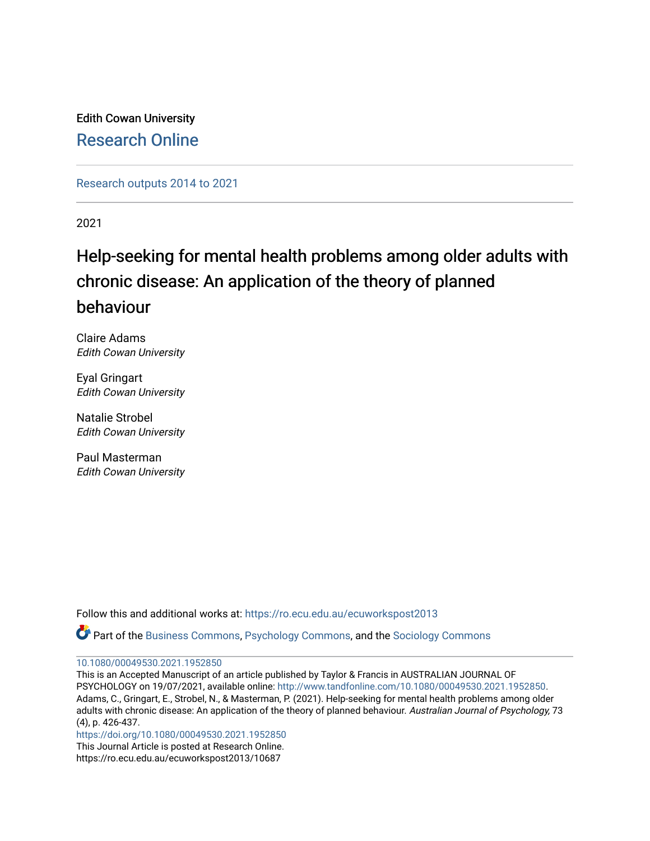Edith Cowan University [Research Online](https://ro.ecu.edu.au/) 

[Research outputs 2014 to 2021](https://ro.ecu.edu.au/ecuworkspost2013) 

2021

# Help-seeking for mental health problems among older adults with chronic disease: An application of the theory of planned behaviour

Claire Adams Edith Cowan University

Eyal Gringart Edith Cowan University

Natalie Strobel Edith Cowan University

Paul Masterman Edith Cowan University

Follow this and additional works at: [https://ro.ecu.edu.au/ecuworkspost2013](https://ro.ecu.edu.au/ecuworkspost2013?utm_source=ro.ecu.edu.au%2Fecuworkspost2013%2F10687&utm_medium=PDF&utm_campaign=PDFCoverPages) 

Part of the [Business Commons](http://network.bepress.com/hgg/discipline/622?utm_source=ro.ecu.edu.au%2Fecuworkspost2013%2F10687&utm_medium=PDF&utm_campaign=PDFCoverPages), [Psychology Commons](http://network.bepress.com/hgg/discipline/404?utm_source=ro.ecu.edu.au%2Fecuworkspost2013%2F10687&utm_medium=PDF&utm_campaign=PDFCoverPages), and the [Sociology Commons](http://network.bepress.com/hgg/discipline/416?utm_source=ro.ecu.edu.au%2Fecuworkspost2013%2F10687&utm_medium=PDF&utm_campaign=PDFCoverPages)

[10.1080/00049530.2021.1952850](http://dx.doi.org/10.1080/00049530.2021.1952850)

This is an Accepted Manuscript of an article published by Taylor & Francis in AUSTRALIAN JOURNAL OF PSYCHOLOGY on 19/07/2021, available online: <http://www.tandfonline.com/10.1080/00049530.2021.1952850>. Adams, C., Gringart, E., Strobel, N., & Masterman, P. (2021). Help-seeking for mental health problems among older adults with chronic disease: An application of the theory of planned behaviour. Australian Journal of Psychology, 73 (4), p. 426-437.

<https://doi.org/10.1080/00049530.2021.1952850>

This Journal Article is posted at Research Online. https://ro.ecu.edu.au/ecuworkspost2013/10687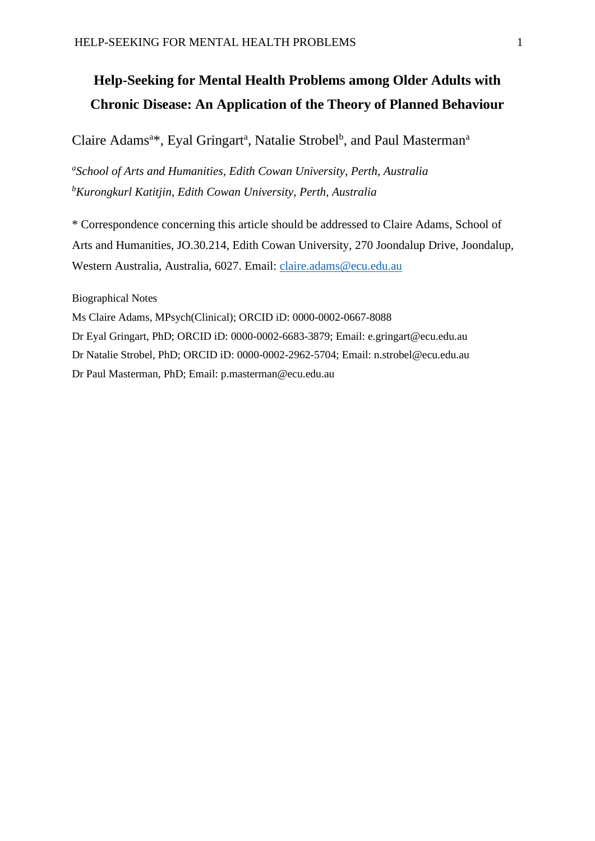## **Help-Seeking for Mental Health Problems among Older Adults with Chronic Disease: An Application of the Theory of Planned Behaviour**

## Claire Adams<sup>a\*</sup>, Eyal Gringart<sup>a</sup>, Natalie Strobel<sup>b</sup>, and Paul Masterman<sup>a</sup>

*a School of Arts and Humanities, Edith Cowan University, Perth, Australia <sup>b</sup>Kurongkurl Katitjin, Edith Cowan University, Perth, Australia*

\* Correspondence concerning this article should be addressed to Claire Adams, School of Arts and Humanities, JO.30.214, Edith Cowan University, 270 Joondalup Drive, Joondalup, Western Australia, Australia, 6027. Email: [claire.adams@ecu.edu.au](mailto:claire.adams@ecu.edu.au)

Biographical Notes

Ms Claire Adams, MPsych(Clinical); ORCID iD: 0000-0002-0667-8088 Dr Eyal Gringart, PhD; ORCID iD: 0000-0002-6683-3879; Email: e.gringart@ecu.edu.au Dr Natalie Strobel, PhD; ORCID iD: 0000-0002-2962-5704; Email: n.strobel@ecu.edu.au Dr Paul Masterman, PhD; Email: p.masterman@ecu.edu.au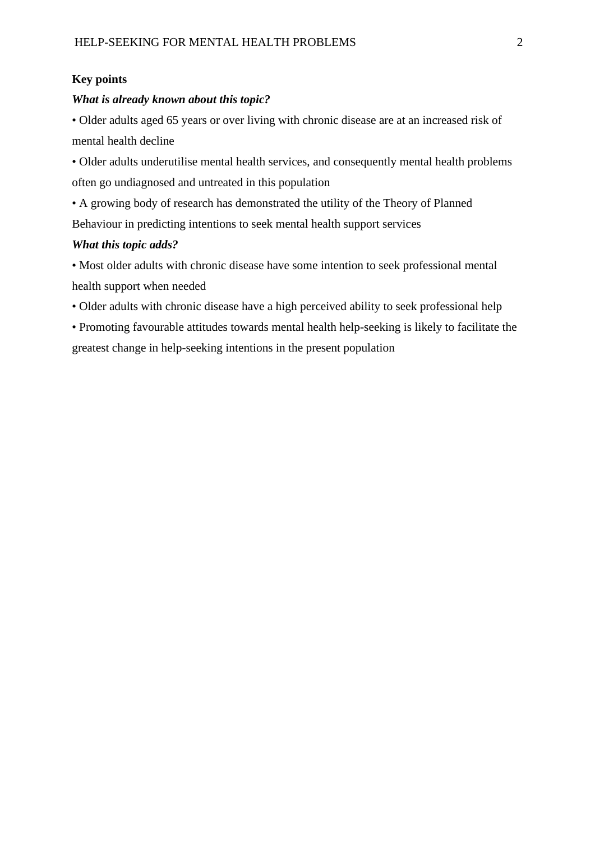### **Key points**

#### *What is already known about this topic?*

• Older adults aged 65 years or over living with chronic disease are at an increased risk of mental health decline

• Older adults underutilise mental health services, and consequently mental health problems often go undiagnosed and untreated in this population

• A growing body of research has demonstrated the utility of the Theory of Planned Behaviour in predicting intentions to seek mental health support services

#### *What this topic adds?*

• Most older adults with chronic disease have some intention to seek professional mental health support when needed

• Older adults with chronic disease have a high perceived ability to seek professional help

• Promoting favourable attitudes towards mental health help-seeking is likely to facilitate the greatest change in help-seeking intentions in the present population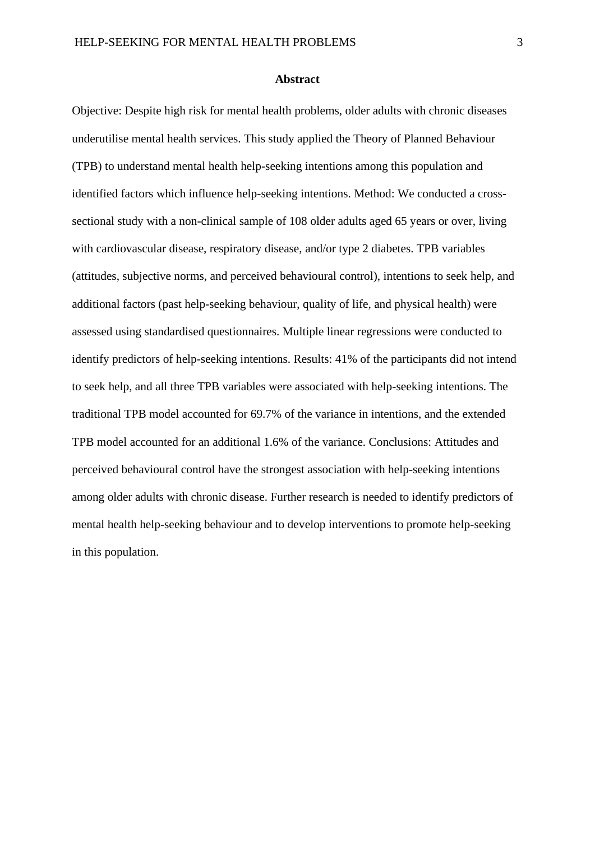#### **Abstract**

Objective: Despite high risk for mental health problems, older adults with chronic diseases underutilise mental health services. This study applied the Theory of Planned Behaviour (TPB) to understand mental health help-seeking intentions among this population and identified factors which influence help-seeking intentions. Method: We conducted a crosssectional study with a non-clinical sample of 108 older adults aged 65 years or over, living with cardiovascular disease, respiratory disease, and/or type 2 diabetes. TPB variables (attitudes, subjective norms, and perceived behavioural control), intentions to seek help, and additional factors (past help-seeking behaviour, quality of life, and physical health) were assessed using standardised questionnaires. Multiple linear regressions were conducted to identify predictors of help-seeking intentions. Results: 41% of the participants did not intend to seek help, and all three TPB variables were associated with help-seeking intentions. The traditional TPB model accounted for 69.7% of the variance in intentions, and the extended TPB model accounted for an additional 1.6% of the variance. Conclusions: Attitudes and perceived behavioural control have the strongest association with help-seeking intentions among older adults with chronic disease. Further research is needed to identify predictors of mental health help-seeking behaviour and to develop interventions to promote help-seeking in this population.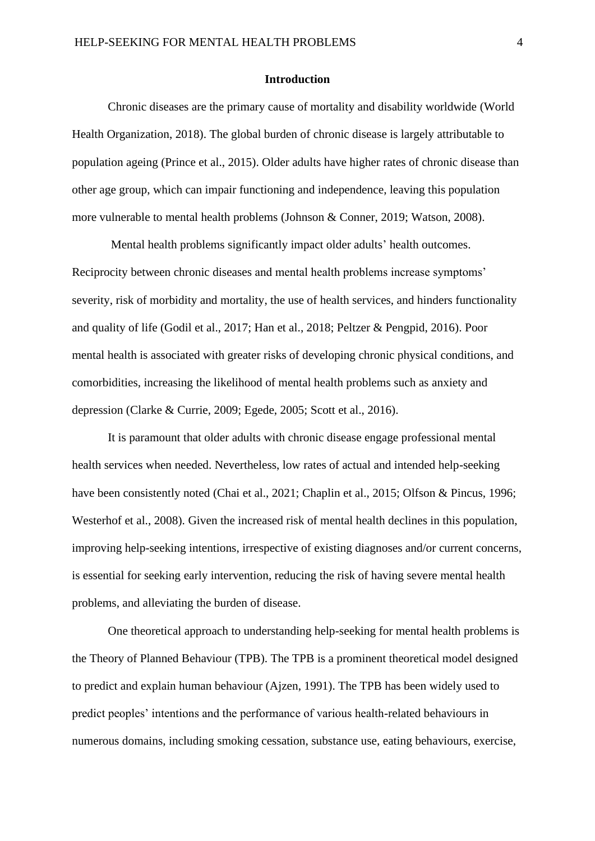#### **Introduction**

Chronic diseases are the primary cause of mortality and disability worldwide (World Health Organization, 2018). The global burden of chronic disease is largely attributable to population ageing (Prince et al., 2015). Older adults have higher rates of chronic disease than other age group, which can impair functioning and independence, leaving this population more vulnerable to mental health problems (Johnson & Conner, 2019; Watson, 2008).

Mental health problems significantly impact older adults' health outcomes. Reciprocity between chronic diseases and mental health problems increase symptoms' severity, risk of morbidity and mortality, the use of health services, and hinders functionality and quality of life (Godil et al., 2017; Han et al., 2018; Peltzer & Pengpid, 2016). Poor mental health is associated with greater risks of developing chronic physical conditions, and comorbidities, increasing the likelihood of mental health problems such as anxiety and depression (Clarke & Currie, 2009; Egede, 2005; Scott et al., 2016).

It is paramount that older adults with chronic disease engage professional mental health services when needed. Nevertheless, low rates of actual and intended help-seeking have been consistently noted (Chai et al., 2021; Chaplin et al., 2015; Olfson & Pincus, 1996; Westerhof et al., 2008). Given the increased risk of mental health declines in this population, improving help-seeking intentions, irrespective of existing diagnoses and/or current concerns, is essential for seeking early intervention, reducing the risk of having severe mental health problems, and alleviating the burden of disease.

One theoretical approach to understanding help-seeking for mental health problems is the Theory of Planned Behaviour (TPB). The TPB is a prominent theoretical model designed to predict and explain human behaviour (Ajzen, 1991). The TPB has been widely used to predict peoples' intentions and the performance of various health-related behaviours in numerous domains, including smoking cessation, substance use, eating behaviours, exercise,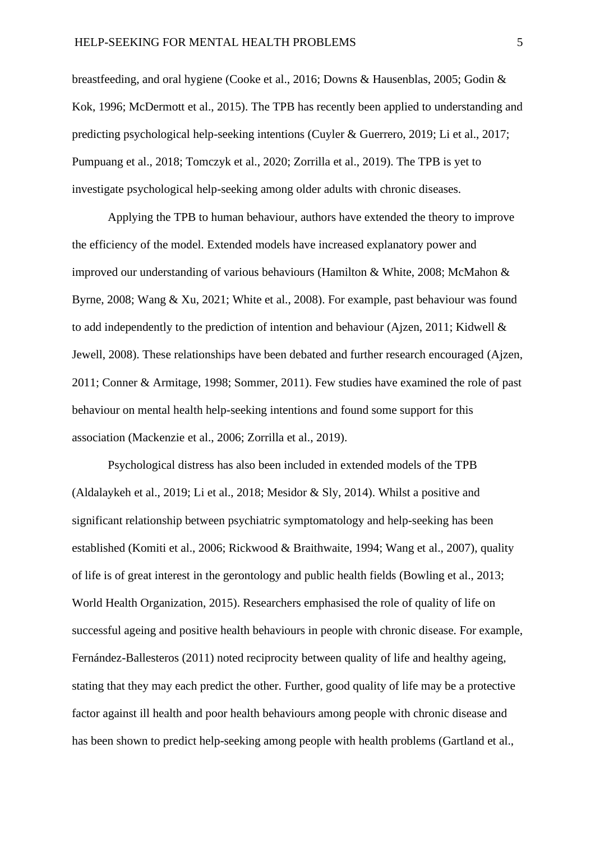breastfeeding, and oral hygiene (Cooke et al., 2016; Downs & Hausenblas, 2005; Godin & Kok, 1996; McDermott et al., 2015). The TPB has recently been applied to understanding and predicting psychological help-seeking intentions (Cuyler & Guerrero, 2019; Li et al., 2017; Pumpuang et al., 2018; Tomczyk et al., 2020; Zorrilla et al., 2019). The TPB is yet to investigate psychological help-seeking among older adults with chronic diseases.

Applying the TPB to human behaviour, authors have extended the theory to improve the efficiency of the model. Extended models have increased explanatory power and improved our understanding of various behaviours (Hamilton & White, 2008; McMahon & Byrne, 2008; Wang & Xu, 2021; White et al., 2008). For example, past behaviour was found to add independently to the prediction of intention and behaviour (Ajzen, 2011; Kidwell & Jewell, 2008). These relationships have been debated and further research encouraged (Ajzen, 2011; Conner & Armitage, 1998; Sommer, 2011). Few studies have examined the role of past behaviour on mental health help-seeking intentions and found some support for this association (Mackenzie et al., 2006; Zorrilla et al., 2019).

Psychological distress has also been included in extended models of the TPB (Aldalaykeh et al., 2019; Li et al., 2018; Mesidor & Sly, 2014). Whilst a positive and significant relationship between psychiatric symptomatology and help-seeking has been established (Komiti et al., 2006; Rickwood & Braithwaite, 1994; Wang et al., 2007), quality of life is of great interest in the gerontology and public health fields (Bowling et al., 2013; World Health Organization, 2015). Researchers emphasised the role of quality of life on successful ageing and positive health behaviours in people with chronic disease. For example, Fernández-Ballesteros (2011) noted reciprocity between quality of life and healthy ageing, stating that they may each predict the other. Further, good quality of life may be a protective factor against ill health and poor health behaviours among people with chronic disease and has been shown to predict help-seeking among people with health problems (Gartland et al.,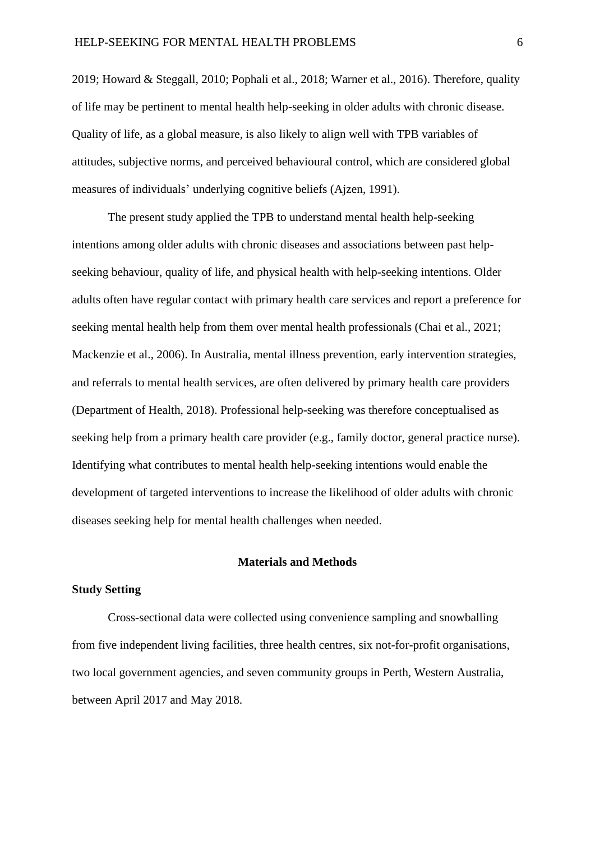2019; Howard & Steggall, 2010; Pophali et al., 2018; Warner et al., 2016). Therefore, quality of life may be pertinent to mental health help-seeking in older adults with chronic disease. Quality of life, as a global measure, is also likely to align well with TPB variables of attitudes, subjective norms, and perceived behavioural control, which are considered global measures of individuals' underlying cognitive beliefs (Ajzen, 1991).

The present study applied the TPB to understand mental health help-seeking intentions among older adults with chronic diseases and associations between past helpseeking behaviour, quality of life, and physical health with help-seeking intentions. Older adults often have regular contact with primary health care services and report a preference for seeking mental health help from them over mental health professionals (Chai et al., 2021; Mackenzie et al., 2006). In Australia, mental illness prevention, early intervention strategies, and referrals to mental health services, are often delivered by primary health care providers (Department of Health, 2018). Professional help-seeking was therefore conceptualised as seeking help from a primary health care provider (e.g., family doctor, general practice nurse). Identifying what contributes to mental health help-seeking intentions would enable the development of targeted interventions to increase the likelihood of older adults with chronic diseases seeking help for mental health challenges when needed.

#### **Materials and Methods**

#### **Study Setting**

Cross-sectional data were collected using convenience sampling and snowballing from five independent living facilities, three health centres, six not-for-profit organisations, two local government agencies, and seven community groups in Perth, Western Australia, between April 2017 and May 2018.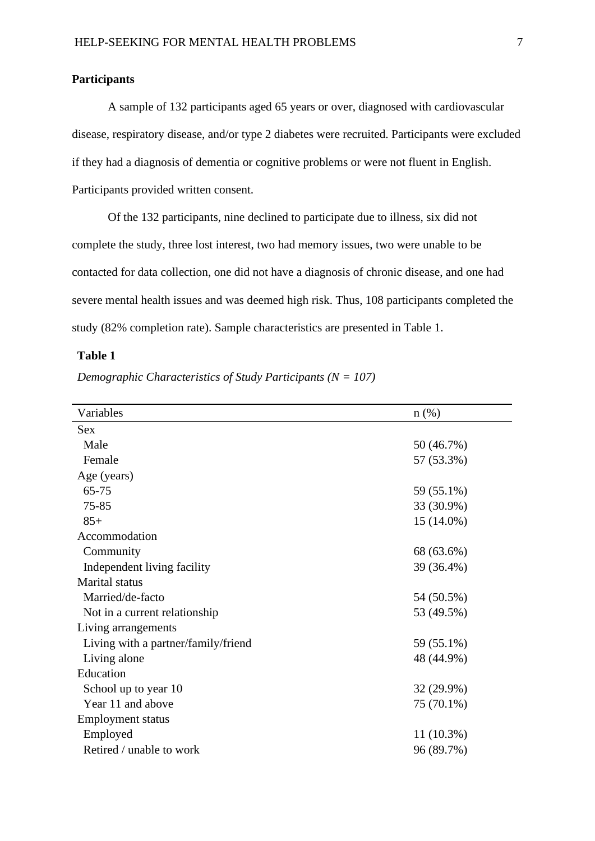#### **Participants**

A sample of 132 participants aged 65 years or over, diagnosed with cardiovascular disease, respiratory disease, and/or type 2 diabetes were recruited. Participants were excluded if they had a diagnosis of dementia or cognitive problems or were not fluent in English. Participants provided written consent.

Of the 132 participants, nine declined to participate due to illness, six did not complete the study, three lost interest, two had memory issues, two were unable to be contacted for data collection, one did not have a diagnosis of chronic disease, and one had severe mental health issues and was deemed high risk. Thus, 108 participants completed the study (82% completion rate). Sample characteristics are presented in Table 1.

## **Table 1**

| Variables                           | $n$ (%)      |
|-------------------------------------|--------------|
| <b>Sex</b>                          |              |
| Male                                | 50 (46.7%)   |
| Female                              | 57 (53.3%)   |
| Age (years)                         |              |
| 65-75                               | 59 (55.1%)   |
| 75-85                               | 33 (30.9%)   |
| $85+$                               | $15(14.0\%)$ |
| Accommodation                       |              |
| Community                           | 68 (63.6%)   |
| Independent living facility         | 39 (36.4%)   |
| <b>Marital</b> status               |              |
| Married/de-facto                    | 54 (50.5%)   |
| Not in a current relationship       | 53 (49.5%)   |
| Living arrangements                 |              |
| Living with a partner/family/friend | 59 (55.1%)   |
| Living alone                        | 48 (44.9%)   |
| Education                           |              |
| School up to year 10                | 32 (29.9%)   |
| Year 11 and above                   | 75 (70.1%)   |
| <b>Employment status</b>            |              |
| Employed                            | $11(10.3\%)$ |
| Retired / unable to work            | 96 (89.7%)   |

*Demographic Characteristics of Study Participants (N = 107)*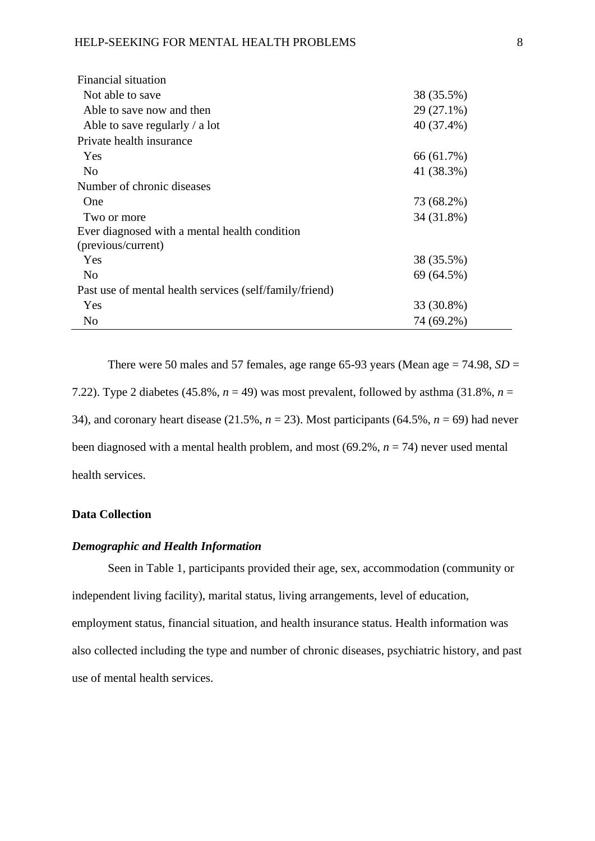| Financial situation                                     |            |
|---------------------------------------------------------|------------|
| Not able to save                                        | 38 (35.5%) |
| Able to save now and then                               | 29 (27.1%) |
| Able to save regularly $\ell$ a lot                     | 40 (37.4%) |
| Private health insurance                                |            |
| <b>Yes</b>                                              | 66 (61.7%) |
| N <sub>0</sub>                                          | 41 (38.3%) |
| Number of chronic diseases                              |            |
| One                                                     | 73 (68.2%) |
| Two or more                                             | 34 (31.8%) |
| Ever diagnosed with a mental health condition           |            |
| (previous/current)                                      |            |
| Yes                                                     | 38 (35.5%) |
| N <sub>0</sub>                                          | 69 (64.5%) |
| Past use of mental health services (self/family/friend) |            |
| <b>Yes</b>                                              | 33 (30.8%) |
| N <sub>0</sub>                                          | 74 (69.2%) |

There were 50 males and 57 females, age range  $65-93$  years (Mean age  $= 74.98$ ,  $SD =$ 7.22). Type 2 diabetes (45.8%,  $n = 49$ ) was most prevalent, followed by asthma (31.8%,  $n =$ 34), and coronary heart disease (21.5%, *n* = 23). Most participants (64.5%, *n* = 69) had never been diagnosed with a mental health problem, and most (69.2%, *n* = 74) never used mental health services.

#### **Data Collection**

#### *Demographic and Health Information*

Seen in Table 1, participants provided their age, sex, accommodation (community or independent living facility), marital status, living arrangements, level of education, employment status, financial situation, and health insurance status. Health information was also collected including the type and number of chronic diseases, psychiatric history, and past use of mental health services.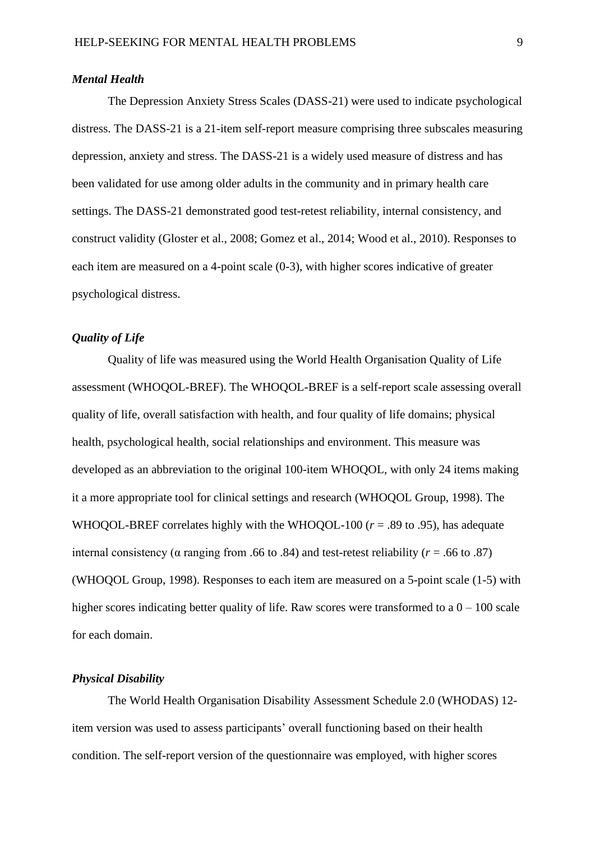#### *Mental Health*

The Depression Anxiety Stress Scales (DASS-21) were used to indicate psychological distress. The DASS-21 is a 21-item self-report measure comprising three subscales measuring depression, anxiety and stress. The DASS-21 is a widely used measure of distress and has been validated for use among older adults in the community and in primary health care settings. The DASS-21 demonstrated good test-retest reliability, internal consistency, and construct validity (Gloster et al., 2008; Gomez et al., 2014; Wood et al., 2010). Responses to each item are measured on a 4-point scale (0-3), with higher scores indicative of greater psychological distress.

## *Quality of Life*

Quality of life was measured using the World Health Organisation Quality of Life assessment (WHOQOL-BREF). The WHOQOL-BREF is a self-report scale assessing overall quality of life, overall satisfaction with health, and four quality of life domains; physical health, psychological health, social relationships and environment. This measure was developed as an abbreviation to the original 100-item WHOQOL, with only 24 items making it a more appropriate tool for clinical settings and research (WHOQOL Group, 1998). The WHOQOL-BREF correlates highly with the WHOQOL-100 ( $r = .89$  to .95), has adequate internal consistency (α ranging from .66 to .84) and test-retest reliability ( $r = .66$  to .87) (WHOQOL Group, 1998). Responses to each item are measured on a 5-point scale (1-5) with higher scores indicating better quality of life. Raw scores were transformed to a  $0 - 100$  scale for each domain.

#### *Physical Disability*

The World Health Organisation Disability Assessment Schedule 2.0 (WHODAS) 12 item version was used to assess participants' overall functioning based on their health condition. The self-report version of the questionnaire was employed, with higher scores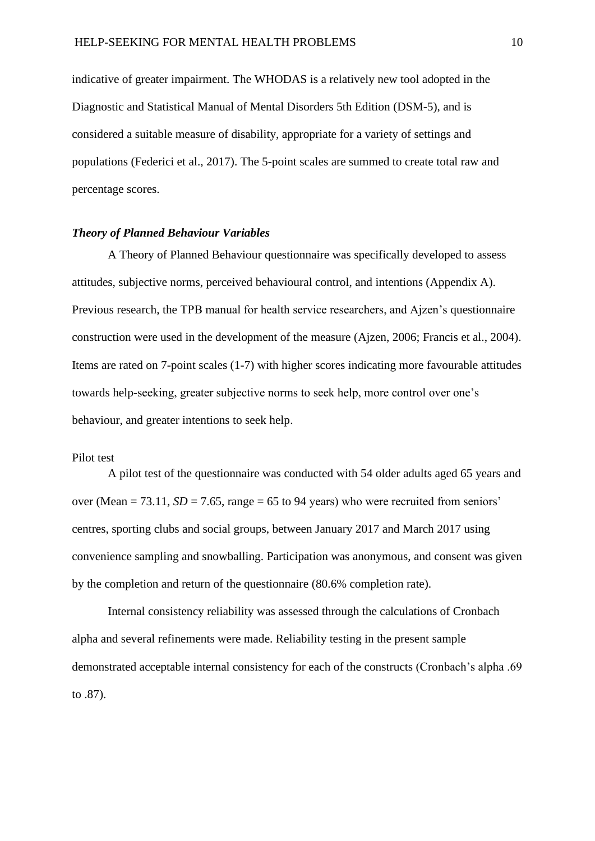indicative of greater impairment. The WHODAS is a relatively new tool adopted in the Diagnostic and Statistical Manual of Mental Disorders 5th Edition (DSM-5), and is considered a suitable measure of disability, appropriate for a variety of settings and populations (Federici et al., 2017). The 5-point scales are summed to create total raw and percentage scores.

#### *Theory of Planned Behaviour Variables*

A Theory of Planned Behaviour questionnaire was specifically developed to assess attitudes, subjective norms, perceived behavioural control, and intentions (Appendix A). Previous research, the TPB manual for health service researchers, and Ajzen's questionnaire construction were used in the development of the measure (Ajzen, 2006; Francis et al., 2004). Items are rated on 7-point scales (1-7) with higher scores indicating more favourable attitudes towards help-seeking, greater subjective norms to seek help, more control over one's behaviour, and greater intentions to seek help.

#### Pilot test

A pilot test of the questionnaire was conducted with 54 older adults aged 65 years and over (Mean  $= 73.11$ ,  $SD = 7.65$ , range  $= 65$  to 94 years) who were recruited from seniors' centres, sporting clubs and social groups, between January 2017 and March 2017 using convenience sampling and snowballing. Participation was anonymous, and consent was given by the completion and return of the questionnaire (80.6% completion rate).

Internal consistency reliability was assessed through the calculations of Cronbach alpha and several refinements were made. Reliability testing in the present sample demonstrated acceptable internal consistency for each of the constructs (Cronbach's alpha .69 to .87).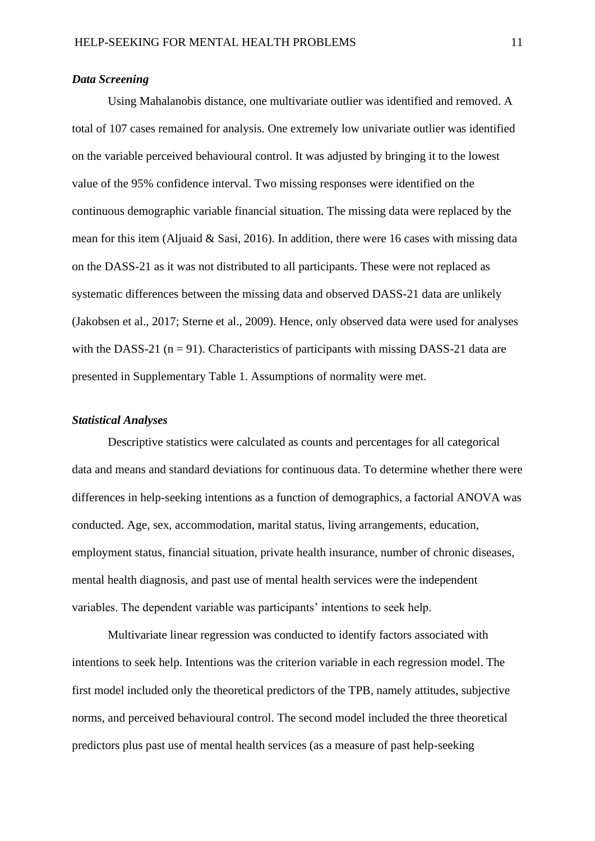#### *Data Screening*

Using Mahalanobis distance, one multivariate outlier was identified and removed. A total of 107 cases remained for analysis. One extremely low univariate outlier was identified on the variable perceived behavioural control. It was adjusted by bringing it to the lowest value of the 95% confidence interval. Two missing responses were identified on the continuous demographic variable financial situation. The missing data were replaced by the mean for this item (Aljuaid & Sasi, 2016). In addition, there were 16 cases with missing data on the DASS-21 as it was not distributed to all participants. These were not replaced as systematic differences between the missing data and observed DASS-21 data are unlikely (Jakobsen et al., 2017; Sterne et al., 2009). Hence, only observed data were used for analyses with the DASS-21 ( $n = 91$ ). Characteristics of participants with missing DASS-21 data are presented in Supplementary Table 1. Assumptions of normality were met.

#### *Statistical Analyses*

Descriptive statistics were calculated as counts and percentages for all categorical data and means and standard deviations for continuous data. To determine whether there were differences in help-seeking intentions as a function of demographics, a factorial ANOVA was conducted. Age, sex, accommodation, marital status, living arrangements, education, employment status, financial situation, private health insurance, number of chronic diseases, mental health diagnosis, and past use of mental health services were the independent variables. The dependent variable was participants' intentions to seek help.

Multivariate linear regression was conducted to identify factors associated with intentions to seek help. Intentions was the criterion variable in each regression model. The first model included only the theoretical predictors of the TPB, namely attitudes, subjective norms, and perceived behavioural control. The second model included the three theoretical predictors plus past use of mental health services (as a measure of past help-seeking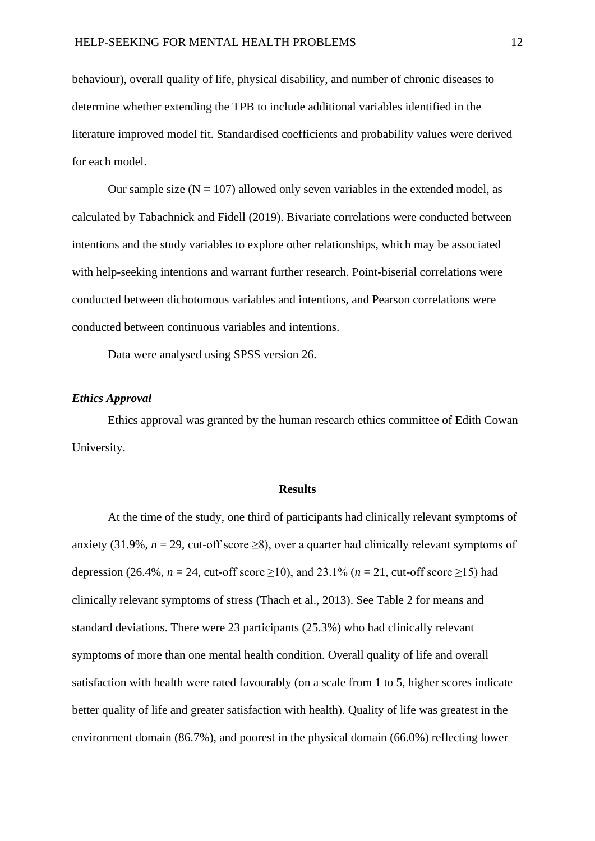behaviour), overall quality of life, physical disability, and number of chronic diseases to determine whether extending the TPB to include additional variables identified in the literature improved model fit. Standardised coefficients and probability values were derived for each model.

Our sample size  $(N = 107)$  allowed only seven variables in the extended model, as calculated by Tabachnick and Fidell (2019). Bivariate correlations were conducted between intentions and the study variables to explore other relationships, which may be associated with help-seeking intentions and warrant further research. Point-biserial correlations were conducted between dichotomous variables and intentions, and Pearson correlations were conducted between continuous variables and intentions.

Data were analysed using SPSS version 26.

#### *Ethics Approval*

Ethics approval was granted by the human research ethics committee of Edith Cowan University.

#### **Results**

At the time of the study, one third of participants had clinically relevant symptoms of anxiety (31.9%,  $n = 29$ , cut-off score  $\ge 8$ ), over a quarter had clinically relevant symptoms of depression (26.4%,  $n = 24$ , cut-off score  $\geq 10$ ), and 23.1% ( $n = 21$ , cut-off score  $\geq 15$ ) had clinically relevant symptoms of stress (Thach et al., 2013). See Table 2 for means and standard deviations. There were 23 participants (25.3%) who had clinically relevant symptoms of more than one mental health condition. Overall quality of life and overall satisfaction with health were rated favourably (on a scale from 1 to 5, higher scores indicate better quality of life and greater satisfaction with health). Quality of life was greatest in the environment domain (86.7%), and poorest in the physical domain (66.0%) reflecting lower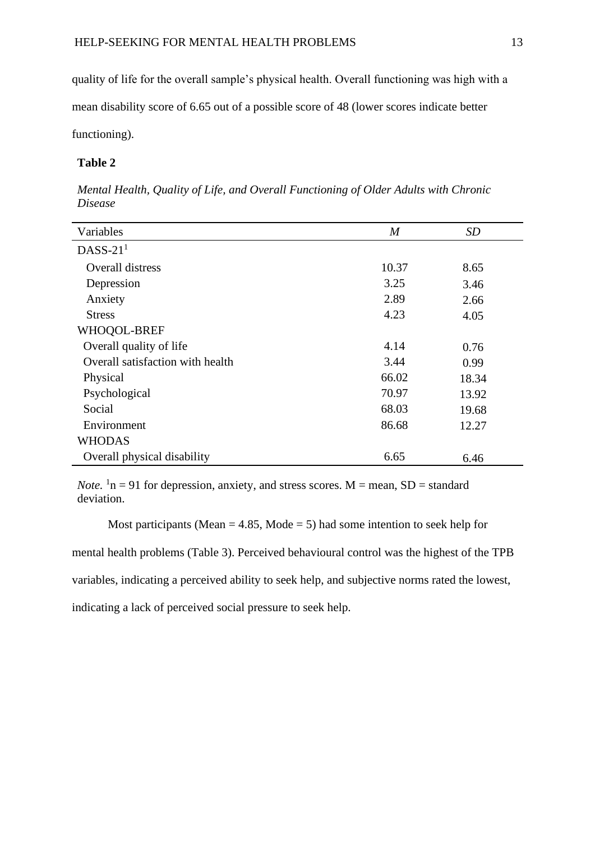quality of life for the overall sample's physical health. Overall functioning was high with a

mean disability score of 6.65 out of a possible score of 48 (lower scores indicate better

functioning).

## **Table 2**

| Variables                        | $\boldsymbol{M}$ | SD    |
|----------------------------------|------------------|-------|
| $DASS-211$                       |                  |       |
| Overall distress                 | 10.37            | 8.65  |
| Depression                       | 3.25             | 3.46  |
| Anxiety                          | 2.89             | 2.66  |
| <b>Stress</b>                    | 4.23             | 4.05  |
| WHOQOL-BREF                      |                  |       |
| Overall quality of life          | 4.14             | 0.76  |
| Overall satisfaction with health | 3.44             | 0.99  |
| Physical                         | 66.02            | 18.34 |
| Psychological                    | 70.97            | 13.92 |
| Social                           | 68.03            | 19.68 |
| Environment                      | 86.68            | 12.27 |
| <b>WHODAS</b>                    |                  |       |
| Overall physical disability      | 6.65             | 6.46  |

*Mental Health, Quality of Life, and Overall Functioning of Older Adults with Chronic Disease* 

*Note*.  $\ln n = 91$  for depression, anxiety, and stress scores. M = mean, SD = standard deviation.

Most participants (Mean  $= 4.85$ , Mode  $= 5$ ) had some intention to seek help for mental health problems (Table 3). Perceived behavioural control was the highest of the TPB

variables, indicating a perceived ability to seek help, and subjective norms rated the lowest,

indicating a lack of perceived social pressure to seek help.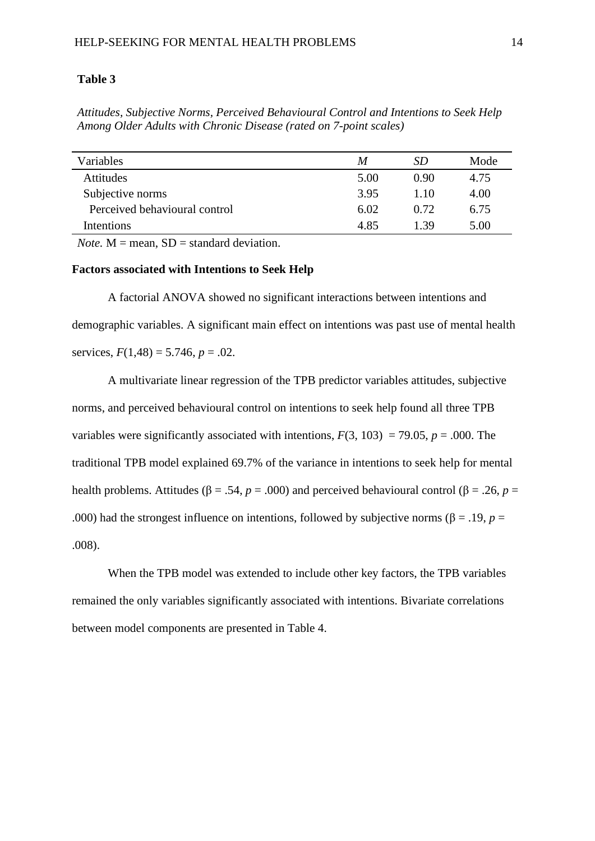#### **Table 3**

*Attitudes, Subjective Norms, Perceived Behavioural Control and Intentions to Seek Help Among Older Adults with Chronic Disease (rated on 7-point scales)*

| Variables                     | M    | SD   | Mode |
|-------------------------------|------|------|------|
| Attitudes                     | 5.00 | 0.90 | 4.75 |
| Subjective norms              | 3.95 | 1.10 | 4.00 |
| Perceived behavioural control | 6.02 | 0.72 | 6.75 |
| Intentions                    | 4.85 | 139  | 5.00 |

*Note.*  $M =$  mean,  $SD =$  standard deviation.

#### **Factors associated with Intentions to Seek Help**

A factorial ANOVA showed no significant interactions between intentions and demographic variables. A significant main effect on intentions was past use of mental health services,  $F(1,48) = 5.746$ ,  $p = .02$ .

A multivariate linear regression of the TPB predictor variables attitudes, subjective norms, and perceived behavioural control on intentions to seek help found all three TPB variables were significantly associated with intentions,  $F(3, 103) = 79.05$ ,  $p = .000$ . The traditional TPB model explained 69.7% of the variance in intentions to seek help for mental health problems. Attitudes (β = .54, *p* = .000) and perceived behavioural control (β = .26, *p* = .000) had the strongest influence on intentions, followed by subjective norms ( $\beta$  = .19, *p* = .008).

When the TPB model was extended to include other key factors, the TPB variables remained the only variables significantly associated with intentions. Bivariate correlations between model components are presented in Table 4.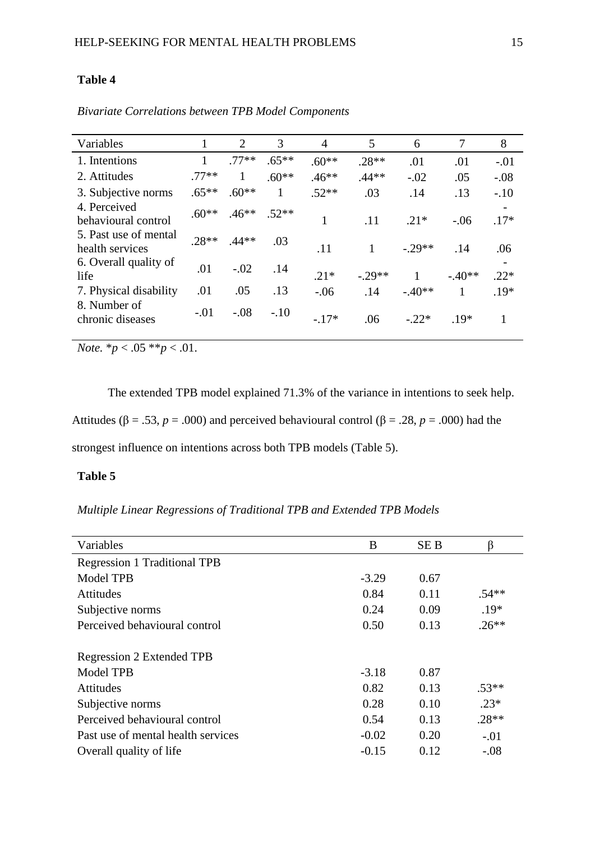## **Table 4**

| Variables                                |         | 2       | 3       | 4       | 5       | 6        | 7        | 8      |
|------------------------------------------|---------|---------|---------|---------|---------|----------|----------|--------|
| 1. Intentions                            |         | $.77**$ | $.65**$ | $.60**$ | $.28**$ | .01      | .01      | $-.01$ |
| 2. Attitudes                             | $.77**$ | 1       | $.60**$ | $.46**$ | $.44**$ | $-.02$   | .05      | $-.08$ |
| 3. Subjective norms                      | $.65**$ | $.60**$ | 1       | $.52**$ | .03     | .14      | .13      | $-.10$ |
| 4. Perceived<br>behavioural control      | $.60**$ | $.46**$ | $.52**$ | 1       | .11     | $.21*$   | $-.06$   | $.17*$ |
| 5. Past use of mental<br>health services | $.28**$ | $.44**$ | .03     | .11     | 1       | $-29**$  | .14      | .06    |
| 6. Overall quality of<br>life            | .01     | $-.02$  | .14     | $.21*$  | $-29**$ |          | $-.40**$ | $.22*$ |
| 7. Physical disability                   | .01     | .05     | .13     | $-.06$  | .14     | $-.40**$ | 1        | $.19*$ |
| 8. Number of<br>chronic diseases         | $-.01$  | $-.08$  | $-.10$  | $-.17*$ | .06     | $-22*$   | $.19*$   | 1      |

*Bivariate Correlations between TPB Model Components* 

*Note.*  $* p < .05 * p < .01$ .

The extended TPB model explained 71.3% of the variance in intentions to seek help. Attitudes (β = .53, *p* = .000) and perceived behavioural control (β = .28, *p* = .000) had the strongest influence on intentions across both TPB models (Table 5).

## **Table 5**

*Multiple Linear Regressions of Traditional TPB and Extended TPB Models*

| B       | <b>SEB</b> | β       |
|---------|------------|---------|
|         |            |         |
| $-3.29$ | 0.67       |         |
| 0.84    | 0.11       | $.54**$ |
| 0.24    | 0.09       | $.19*$  |
| 0.50    | 0.13       | $.26**$ |
|         |            |         |
| $-3.18$ | 0.87       |         |
| 0.82    | 0.13       | $.53**$ |
| 0.28    | 0.10       | $.23*$  |
| 0.54    | 0.13       | $.28**$ |
| $-0.02$ | 0.20       | $-.01$  |
| $-0.15$ | 0.12       | $-.08$  |
|         |            |         |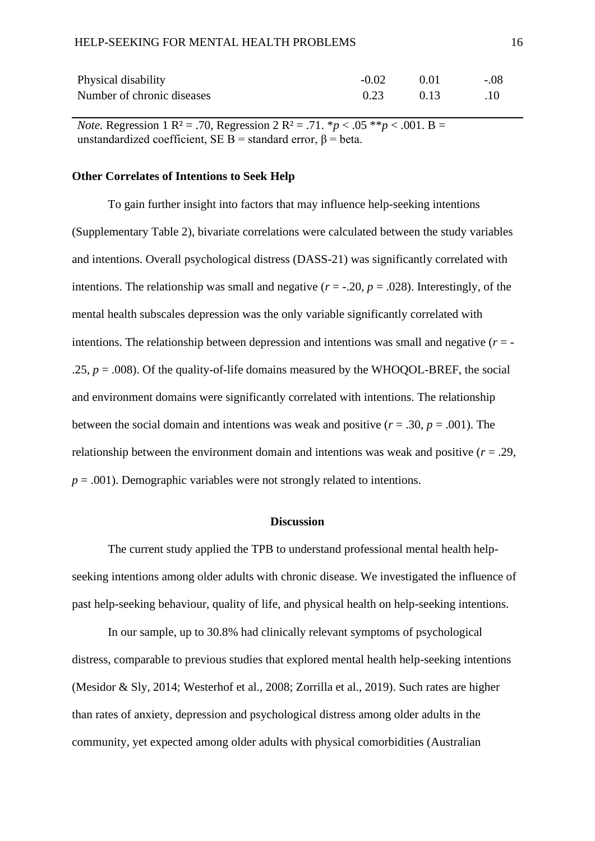| Physical disability        | $-0.02$ | - 0.01 | $-.08$ |
|----------------------------|---------|--------|--------|
| Number of chronic diseases | 0.23    | 0.13   | .10    |

*Note.* Regression 1 R<sup>2</sup> = .70, Regression 2 R<sup>2</sup> = .71.  ${}^*p$  < .05  ${}^*{}^*p$  < .001. B = unstandardized coefficient, SE B = standard error,  $\beta$  = beta.

#### **Other Correlates of Intentions to Seek Help**

To gain further insight into factors that may influence help-seeking intentions (Supplementary Table 2), bivariate correlations were calculated between the study variables and intentions. Overall psychological distress (DASS-21) was significantly correlated with intentions. The relationship was small and negative  $(r = -0.20, p = 0.028)$ . Interestingly, of the mental health subscales depression was the only variable significantly correlated with intentions. The relationship between depression and intentions was small and negative  $(r = -1)$ .25,  $p = .008$ ). Of the quality-of-life domains measured by the WHOQOL-BREF, the social and environment domains were significantly correlated with intentions. The relationship between the social domain and intentions was weak and positive  $(r = .30, p = .001)$ . The relationship between the environment domain and intentions was weak and positive  $(r = .29, )$  $p = .001$ ). Demographic variables were not strongly related to intentions.

#### **Discussion**

The current study applied the TPB to understand professional mental health helpseeking intentions among older adults with chronic disease. We investigated the influence of past help-seeking behaviour, quality of life, and physical health on help-seeking intentions.

In our sample, up to 30.8% had clinically relevant symptoms of psychological distress, comparable to previous studies that explored mental health help-seeking intentions (Mesidor & Sly, 2014; Westerhof et al., 2008; Zorrilla et al., 2019). Such rates are higher than rates of anxiety, depression and psychological distress among older adults in the community, yet expected among older adults with physical comorbidities (Australian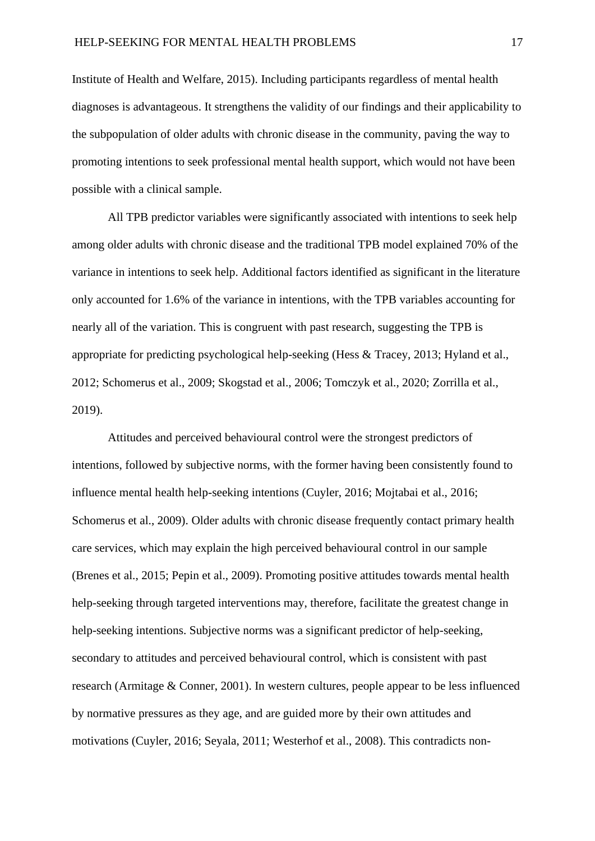Institute of Health and Welfare, 2015). Including participants regardless of mental health diagnoses is advantageous. It strengthens the validity of our findings and their applicability to the subpopulation of older adults with chronic disease in the community, paving the way to promoting intentions to seek professional mental health support, which would not have been possible with a clinical sample.

All TPB predictor variables were significantly associated with intentions to seek help among older adults with chronic disease and the traditional TPB model explained 70% of the variance in intentions to seek help. Additional factors identified as significant in the literature only accounted for 1.6% of the variance in intentions, with the TPB variables accounting for nearly all of the variation. This is congruent with past research, suggesting the TPB is appropriate for predicting psychological help-seeking (Hess & Tracey, 2013; Hyland et al., 2012; Schomerus et al., 2009; Skogstad et al., 2006; Tomczyk et al., 2020; Zorrilla et al., 2019).

Attitudes and perceived behavioural control were the strongest predictors of intentions, followed by subjective norms, with the former having been consistently found to influence mental health help-seeking intentions (Cuyler, 2016; Mojtabai et al., 2016; Schomerus et al., 2009). Older adults with chronic disease frequently contact primary health care services, which may explain the high perceived behavioural control in our sample (Brenes et al., 2015; Pepin et al., 2009). Promoting positive attitudes towards mental health help-seeking through targeted interventions may, therefore, facilitate the greatest change in help-seeking intentions. Subjective norms was a significant predictor of help-seeking, secondary to attitudes and perceived behavioural control, which is consistent with past research (Armitage & Conner, 2001). In western cultures, people appear to be less influenced by normative pressures as they age, and are guided more by their own attitudes and motivations (Cuyler, 2016; Seyala, 2011; Westerhof et al., 2008). This contradicts non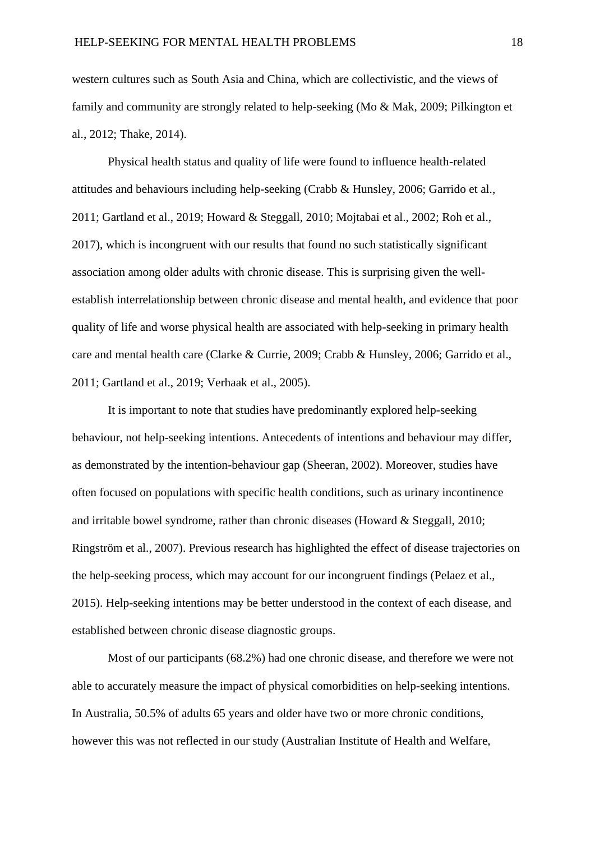western cultures such as South Asia and China, which are collectivistic, and the views of family and community are strongly related to help-seeking (Mo & Mak, 2009; Pilkington et al., 2012; Thake, 2014).

Physical health status and quality of life were found to influence health-related attitudes and behaviours including help-seeking (Crabb & Hunsley, 2006; Garrido et al., 2011; Gartland et al., 2019; Howard & Steggall, 2010; Mojtabai et al., 2002; Roh et al., 2017), which is incongruent with our results that found no such statistically significant association among older adults with chronic disease. This is surprising given the wellestablish interrelationship between chronic disease and mental health, and evidence that poor quality of life and worse physical health are associated with help-seeking in primary health care and mental health care (Clarke & Currie, 2009; Crabb & Hunsley, 2006; Garrido et al., 2011; Gartland et al., 2019; Verhaak et al., 2005).

It is important to note that studies have predominantly explored help-seeking behaviour, not help-seeking intentions. Antecedents of intentions and behaviour may differ, as demonstrated by the intention-behaviour gap (Sheeran, 2002). Moreover, studies have often focused on populations with specific health conditions, such as urinary incontinence and irritable bowel syndrome, rather than chronic diseases (Howard & Steggall, 2010; Ringström et al., 2007). Previous research has highlighted the effect of disease trajectories on the help-seeking process, which may account for our incongruent findings (Pelaez et al., 2015). Help-seeking intentions may be better understood in the context of each disease, and established between chronic disease diagnostic groups.

Most of our participants (68.2%) had one chronic disease, and therefore we were not able to accurately measure the impact of physical comorbidities on help-seeking intentions. In Australia, 50.5% of adults 65 years and older have two or more chronic conditions, however this was not reflected in our study (Australian Institute of Health and Welfare,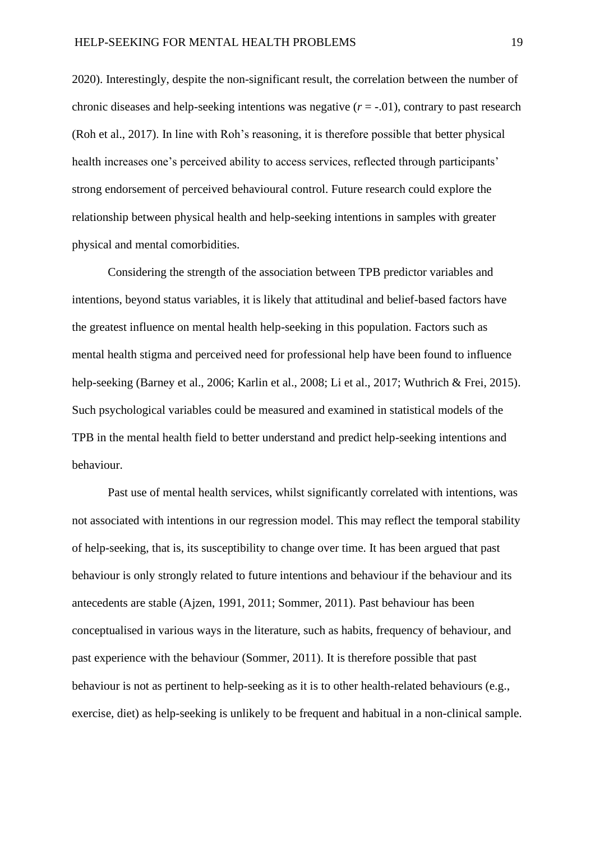2020). Interestingly, despite the non-significant result, the correlation between the number of chronic diseases and help-seeking intentions was negative  $(r = -0.01)$ , contrary to past research (Roh et al., 2017). In line with Roh's reasoning, it is therefore possible that better physical health increases one's perceived ability to access services, reflected through participants' strong endorsement of perceived behavioural control. Future research could explore the relationship between physical health and help-seeking intentions in samples with greater physical and mental comorbidities.

Considering the strength of the association between TPB predictor variables and intentions, beyond status variables, it is likely that attitudinal and belief-based factors have the greatest influence on mental health help-seeking in this population. Factors such as mental health stigma and perceived need for professional help have been found to influence help-seeking (Barney et al., 2006; Karlin et al., 2008; Li et al., 2017; Wuthrich & Frei, 2015). Such psychological variables could be measured and examined in statistical models of the TPB in the mental health field to better understand and predict help-seeking intentions and behaviour.

Past use of mental health services, whilst significantly correlated with intentions, was not associated with intentions in our regression model. This may reflect the temporal stability of help-seeking, that is, its susceptibility to change over time. It has been argued that past behaviour is only strongly related to future intentions and behaviour if the behaviour and its antecedents are stable (Ajzen, 1991, 2011; Sommer, 2011). Past behaviour has been conceptualised in various ways in the literature, such as habits, frequency of behaviour, and past experience with the behaviour (Sommer, 2011). It is therefore possible that past behaviour is not as pertinent to help-seeking as it is to other health-related behaviours (e.g., exercise, diet) as help-seeking is unlikely to be frequent and habitual in a non-clinical sample.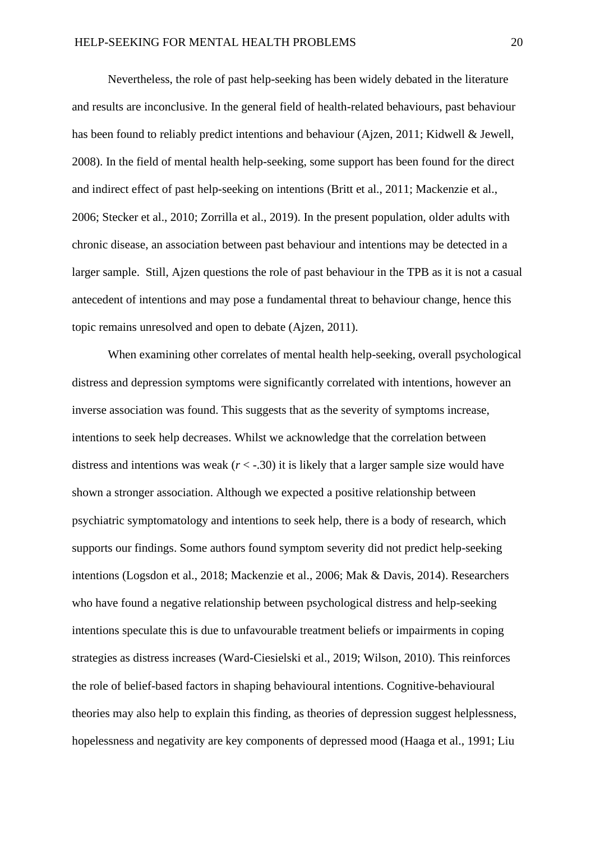Nevertheless, the role of past help-seeking has been widely debated in the literature and results are inconclusive. In the general field of health-related behaviours, past behaviour has been found to reliably predict intentions and behaviour (Ajzen, 2011; Kidwell & Jewell, 2008). In the field of mental health help-seeking, some support has been found for the direct and indirect effect of past help-seeking on intentions (Britt et al., 2011; Mackenzie et al., 2006; Stecker et al., 2010; Zorrilla et al., 2019). In the present population, older adults with chronic disease, an association between past behaviour and intentions may be detected in a larger sample. Still, Ajzen questions the role of past behaviour in the TPB as it is not a casual antecedent of intentions and may pose a fundamental threat to behaviour change, hence this topic remains unresolved and open to debate (Ajzen, 2011).

When examining other correlates of mental health help-seeking, overall psychological distress and depression symptoms were significantly correlated with intentions, however an inverse association was found. This suggests that as the severity of symptoms increase, intentions to seek help decreases. Whilst we acknowledge that the correlation between distress and intentions was weak  $(r < -0.30)$  it is likely that a larger sample size would have shown a stronger association. Although we expected a positive relationship between psychiatric symptomatology and intentions to seek help, there is a body of research, which supports our findings. Some authors found symptom severity did not predict help-seeking intentions (Logsdon et al., 2018; Mackenzie et al., 2006; Mak & Davis, 2014). Researchers who have found a negative relationship between psychological distress and help-seeking intentions speculate this is due to unfavourable treatment beliefs or impairments in coping strategies as distress increases (Ward-Ciesielski et al., 2019; Wilson, 2010). This reinforces the role of belief-based factors in shaping behavioural intentions. Cognitive-behavioural theories may also help to explain this finding, as theories of depression suggest helplessness, hopelessness and negativity are key components of depressed mood (Haaga et al., 1991; Liu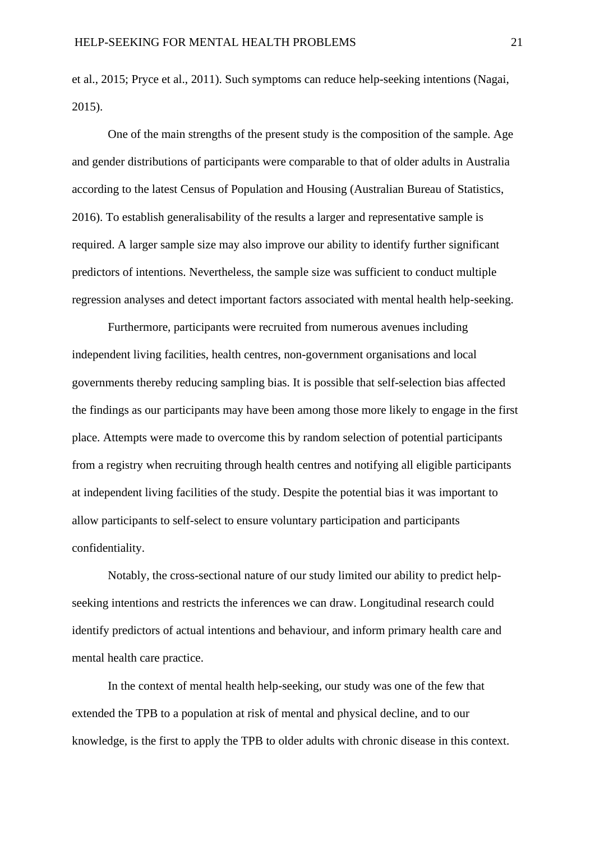et al., 2015; Pryce et al., 2011). Such symptoms can reduce help-seeking intentions (Nagai, 2015).

One of the main strengths of the present study is the composition of the sample. Age and gender distributions of participants were comparable to that of older adults in Australia according to the latest Census of Population and Housing (Australian Bureau of Statistics, 2016). To establish generalisability of the results a larger and representative sample is required. A larger sample size may also improve our ability to identify further significant predictors of intentions. Nevertheless, the sample size was sufficient to conduct multiple regression analyses and detect important factors associated with mental health help-seeking.

Furthermore, participants were recruited from numerous avenues including independent living facilities, health centres, non-government organisations and local governments thereby reducing sampling bias. It is possible that self-selection bias affected the findings as our participants may have been among those more likely to engage in the first place. Attempts were made to overcome this by random selection of potential participants from a registry when recruiting through health centres and notifying all eligible participants at independent living facilities of the study. Despite the potential bias it was important to allow participants to self-select to ensure voluntary participation and participants confidentiality.

Notably, the cross-sectional nature of our study limited our ability to predict helpseeking intentions and restricts the inferences we can draw. Longitudinal research could identify predictors of actual intentions and behaviour, and inform primary health care and mental health care practice.

In the context of mental health help-seeking, our study was one of the few that extended the TPB to a population at risk of mental and physical decline, and to our knowledge, is the first to apply the TPB to older adults with chronic disease in this context.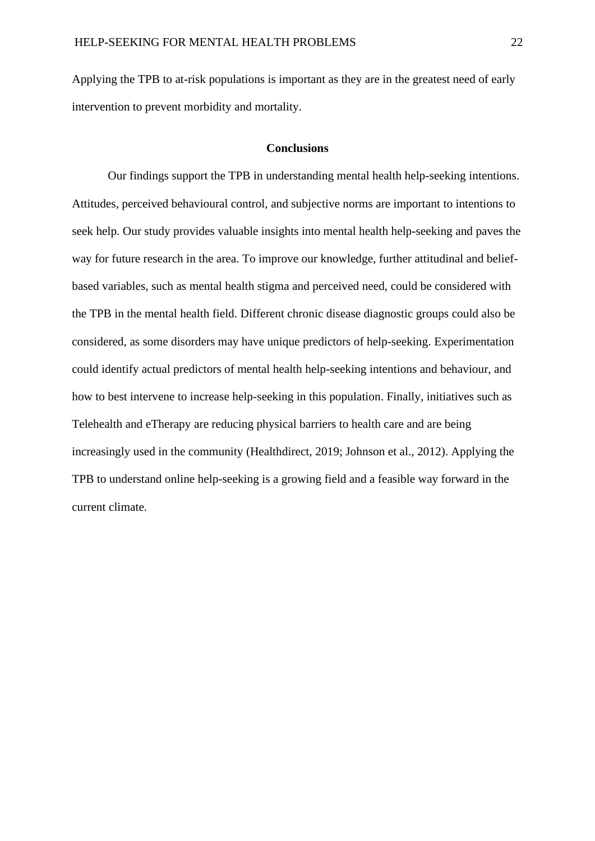Applying the TPB to at-risk populations is important as they are in the greatest need of early intervention to prevent morbidity and mortality.

#### **Conclusions**

Our findings support the TPB in understanding mental health help-seeking intentions. Attitudes, perceived behavioural control, and subjective norms are important to intentions to seek help. Our study provides valuable insights into mental health help-seeking and paves the way for future research in the area. To improve our knowledge, further attitudinal and beliefbased variables, such as mental health stigma and perceived need, could be considered with the TPB in the mental health field. Different chronic disease diagnostic groups could also be considered, as some disorders may have unique predictors of help-seeking. Experimentation could identify actual predictors of mental health help-seeking intentions and behaviour, and how to best intervene to increase help-seeking in this population. Finally, initiatives such as Telehealth and eTherapy are reducing physical barriers to health care and are being increasingly used in the community (Healthdirect, 2019; Johnson et al., 2012). Applying the TPB to understand online help-seeking is a growing field and a feasible way forward in the current climate.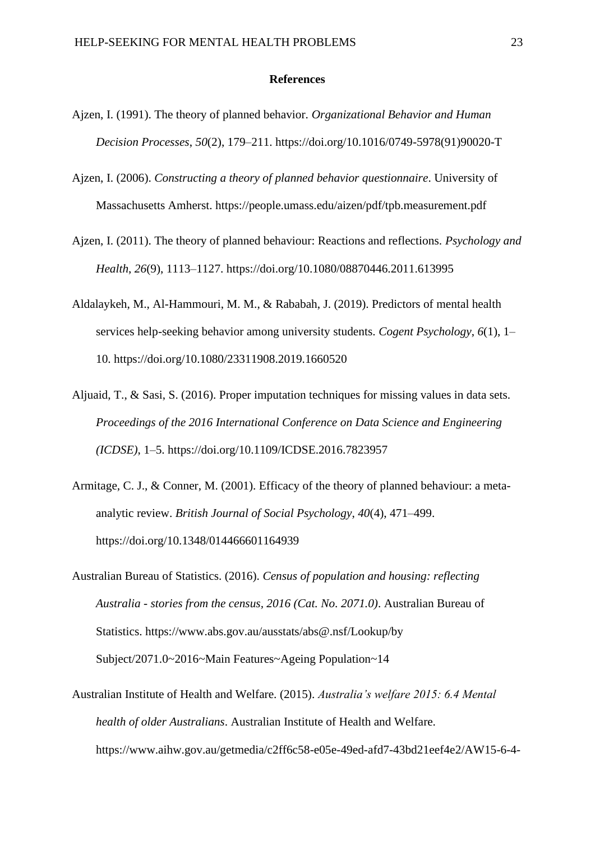#### **References**

- Ajzen, I. (1991). The theory of planned behavior. *Organizational Behavior and Human Decision Processes*, *50*(2), 179–211. https://doi.org/10.1016/0749-5978(91)90020-T
- Ajzen, I. (2006). *Constructing a theory of planned behavior questionnaire*. University of Massachusetts Amherst. https://people.umass.edu/aizen/pdf/tpb.measurement.pdf
- Ajzen, I. (2011). The theory of planned behaviour: Reactions and reflections. *Psychology and Health*, *26*(9), 1113–1127. https://doi.org/10.1080/08870446.2011.613995
- Aldalaykeh, M., Al-Hammouri, M. M., & Rababah, J. (2019). Predictors of mental health services help-seeking behavior among university students. *Cogent Psychology*, *6*(1), 1– 10. https://doi.org/10.1080/23311908.2019.1660520
- Aljuaid, T., & Sasi, S. (2016). Proper imputation techniques for missing values in data sets. *Proceedings of the 2016 International Conference on Data Science and Engineering (ICDSE)*, 1–5. https://doi.org/10.1109/ICDSE.2016.7823957
- Armitage, C. J., & Conner, M. (2001). Efficacy of the theory of planned behaviour: a metaanalytic review. *British Journal of Social Psychology*, *40*(4), 471–499. https://doi.org/10.1348/014466601164939
- Australian Bureau of Statistics. (2016). *Census of population and housing: reflecting Australia - stories from the census, 2016 (Cat. No. 2071.0)*. Australian Bureau of Statistics. https://www.abs.gov.au/ausstats/abs@.nsf/Lookup/by Subject/2071.0~2016~Main Features~Ageing Population~14
- Australian Institute of Health and Welfare. (2015). *Australia's welfare 2015: 6.4 Mental health of older Australians*. Australian Institute of Health and Welfare. https://www.aihw.gov.au/getmedia/c2ff6c58-e05e-49ed-afd7-43bd21eef4e2/AW15-6-4-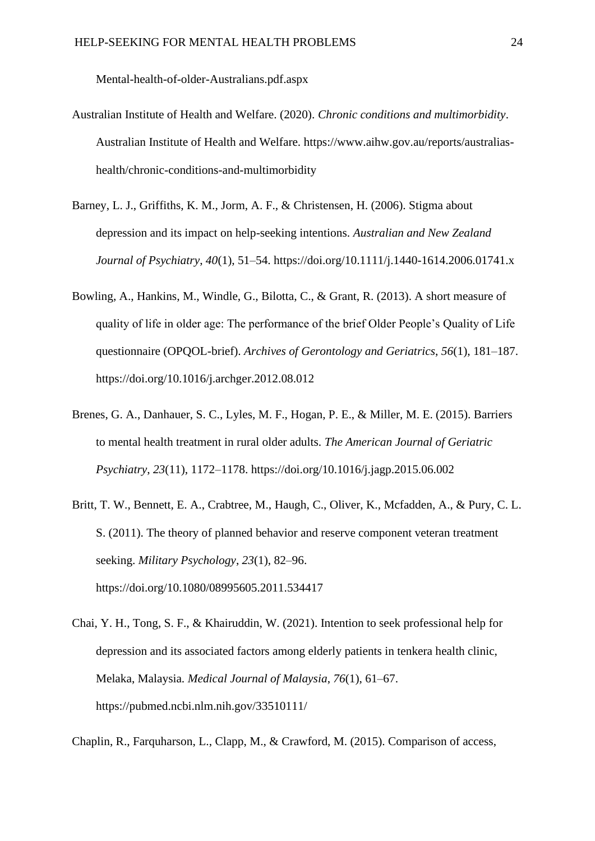Mental-health-of-older-Australians.pdf.aspx

- Australian Institute of Health and Welfare. (2020). *Chronic conditions and multimorbidity*. Australian Institute of Health and Welfare. https://www.aihw.gov.au/reports/australiashealth/chronic-conditions-and-multimorbidity
- Barney, L. J., Griffiths, K. M., Jorm, A. F., & Christensen, H. (2006). Stigma about depression and its impact on help-seeking intentions. *Australian and New Zealand Journal of Psychiatry*, *40*(1), 51–54. https://doi.org/10.1111/j.1440-1614.2006.01741.x
- Bowling, A., Hankins, M., Windle, G., Bilotta, C., & Grant, R. (2013). A short measure of quality of life in older age: The performance of the brief Older People's Quality of Life questionnaire (OPQOL-brief). *Archives of Gerontology and Geriatrics*, *56*(1), 181–187. https://doi.org/10.1016/j.archger.2012.08.012
- Brenes, G. A., Danhauer, S. C., Lyles, M. F., Hogan, P. E., & Miller, M. E. (2015). Barriers to mental health treatment in rural older adults. *The American Journal of Geriatric Psychiatry*, *23*(11), 1172–1178. https://doi.org/10.1016/j.jagp.2015.06.002
- Britt, T. W., Bennett, E. A., Crabtree, M., Haugh, C., Oliver, K., Mcfadden, A., & Pury, C. L. S. (2011). The theory of planned behavior and reserve component veteran treatment seeking. *Military Psychology*, *23*(1), 82–96. https://doi.org/10.1080/08995605.2011.534417
- Chai, Y. H., Tong, S. F., & Khairuddin, W. (2021). Intention to seek professional help for depression and its associated factors among elderly patients in tenkera health clinic, Melaka, Malaysia. *Medical Journal of Malaysia*, *76*(1), 61–67. https://pubmed.ncbi.nlm.nih.gov/33510111/

Chaplin, R., Farquharson, L., Clapp, M., & Crawford, M. (2015). Comparison of access,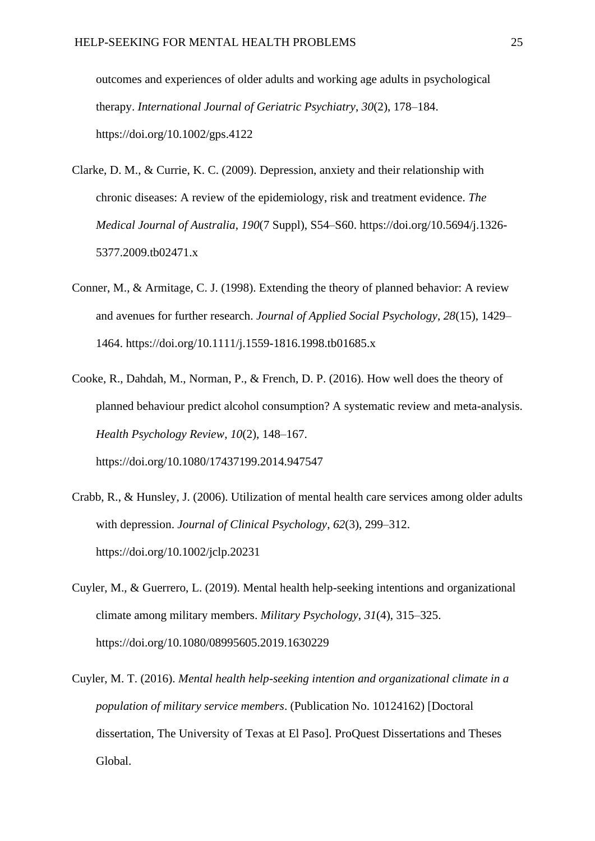outcomes and experiences of older adults and working age adults in psychological therapy. *International Journal of Geriatric Psychiatry*, *30*(2), 178–184. https://doi.org/10.1002/gps.4122

- Clarke, D. M., & Currie, K. C. (2009). Depression, anxiety and their relationship with chronic diseases: A review of the epidemiology, risk and treatment evidence. *The Medical Journal of Australia*, *190*(7 Suppl), S54–S60. https://doi.org/10.5694/j.1326- 5377.2009.tb02471.x
- Conner, M., & Armitage, C. J. (1998). Extending the theory of planned behavior: A review and avenues for further research. *Journal of Applied Social Psychology*, *28*(15), 1429– 1464. https://doi.org/10.1111/j.1559-1816.1998.tb01685.x
- Cooke, R., Dahdah, M., Norman, P., & French, D. P. (2016). How well does the theory of planned behaviour predict alcohol consumption? A systematic review and meta-analysis. *Health Psychology Review*, *10*(2), 148–167. https://doi.org/10.1080/17437199.2014.947547
- Crabb, R., & Hunsley, J. (2006). Utilization of mental health care services among older adults with depression. *Journal of Clinical Psychology*, *62*(3), 299–312. https://doi.org/10.1002/jclp.20231
- Cuyler, M., & Guerrero, L. (2019). Mental health help-seeking intentions and organizational climate among military members. *Military Psychology*, *31*(4), 315–325. https://doi.org/10.1080/08995605.2019.1630229
- Cuyler, M. T. (2016). *Mental health help-seeking intention and organizational climate in a population of military service members*. (Publication No. 10124162) [Doctoral dissertation, The University of Texas at El Paso]. ProQuest Dissertations and Theses Global.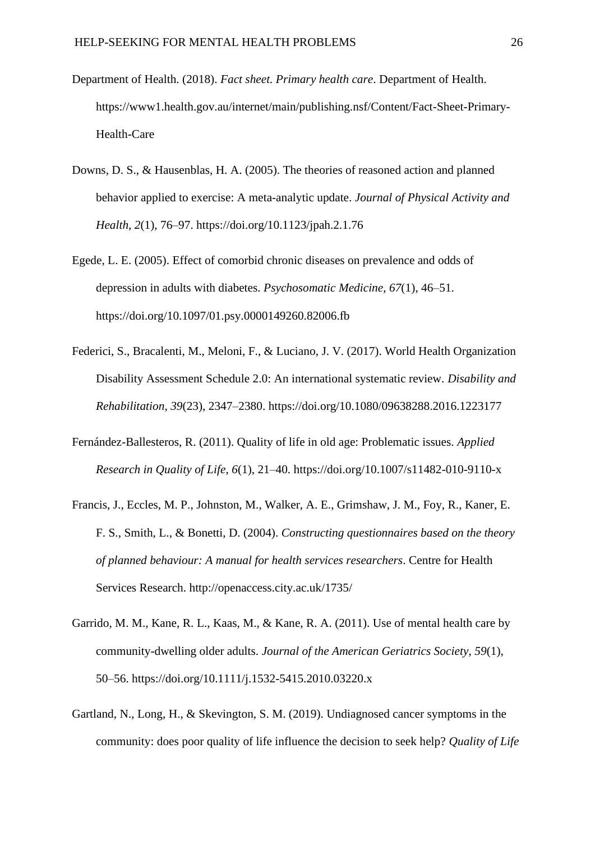- Department of Health. (2018). *Fact sheet. Primary health care*. Department of Health. https://www1.health.gov.au/internet/main/publishing.nsf/Content/Fact-Sheet-Primary-Health-Care
- Downs, D. S., & Hausenblas, H. A. (2005). The theories of reasoned action and planned behavior applied to exercise: A meta-analytic update. *Journal of Physical Activity and Health*, *2*(1), 76–97. https://doi.org/10.1123/jpah.2.1.76
- Egede, L. E. (2005). Effect of comorbid chronic diseases on prevalence and odds of depression in adults with diabetes. *Psychosomatic Medicine*, *67*(1), 46–51. https://doi.org/10.1097/01.psy.0000149260.82006.fb
- Federici, S., Bracalenti, M., Meloni, F., & Luciano, J. V. (2017). World Health Organization Disability Assessment Schedule 2.0: An international systematic review. *Disability and Rehabilitation*, *39*(23), 2347–2380. https://doi.org/10.1080/09638288.2016.1223177
- Fernández-Ballesteros, R. (2011). Quality of life in old age: Problematic issues. *Applied Research in Quality of Life*, *6*(1), 21–40. https://doi.org/10.1007/s11482-010-9110-x
- Francis, J., Eccles, M. P., Johnston, M., Walker, A. E., Grimshaw, J. M., Foy, R., Kaner, E. F. S., Smith, L., & Bonetti, D. (2004). *Constructing questionnaires based on the theory of planned behaviour: A manual for health services researchers*. Centre for Health Services Research. http://openaccess.city.ac.uk/1735/
- Garrido, M. M., Kane, R. L., Kaas, M., & Kane, R. A. (2011). Use of mental health care by community-dwelling older adults. *Journal of the American Geriatrics Society*, *59*(1), 50–56. https://doi.org/10.1111/j.1532-5415.2010.03220.x
- Gartland, N., Long, H., & Skevington, S. M. (2019). Undiagnosed cancer symptoms in the community: does poor quality of life influence the decision to seek help? *Quality of Life*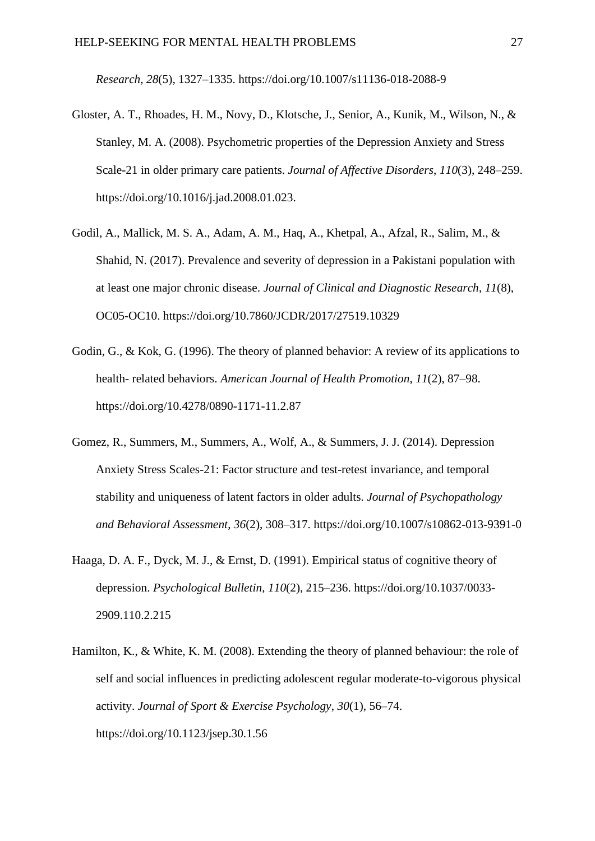*Research*, *28*(5), 1327–1335. https://doi.org/10.1007/s11136-018-2088-9

- Gloster, A. T., Rhoades, H. M., Novy, D., Klotsche, J., Senior, A., Kunik, M., Wilson, N., & Stanley, M. A. (2008). Psychometric properties of the Depression Anxiety and Stress Scale-21 in older primary care patients. *Journal of Affective Disorders*, *110*(3), 248–259. https://doi.org/10.1016/j.jad.2008.01.023.
- Godil, A., Mallick, M. S. A., Adam, A. M., Haq, A., Khetpal, A., Afzal, R., Salim, M., & Shahid, N. (2017). Prevalence and severity of depression in a Pakistani population with at least one major chronic disease. *Journal of Clinical and Diagnostic Research*, *11*(8), OC05-OC10. https://doi.org/10.7860/JCDR/2017/27519.10329
- Godin, G., & Kok, G. (1996). The theory of planned behavior: A review of its applications to health- related behaviors. *American Journal of Health Promotion*, *11*(2), 87–98. https://doi.org/10.4278/0890-1171-11.2.87
- Gomez, R., Summers, M., Summers, A., Wolf, A., & Summers, J. J. (2014). Depression Anxiety Stress Scales-21: Factor structure and test-retest invariance, and temporal stability and uniqueness of latent factors in older adults. *Journal of Psychopathology and Behavioral Assessment*, *36*(2), 308–317. https://doi.org/10.1007/s10862-013-9391-0
- Haaga, D. A. F., Dyck, M. J., & Ernst, D. (1991). Empirical status of cognitive theory of depression. *Psychological Bulletin*, *110*(2), 215–236. https://doi.org/10.1037/0033- 2909.110.2.215
- Hamilton, K., & White, K. M. (2008). Extending the theory of planned behaviour: the role of self and social influences in predicting adolescent regular moderate-to-vigorous physical activity. *Journal of Sport & Exercise Psychology*, *30*(1), 56–74. https://doi.org/10.1123/jsep.30.1.56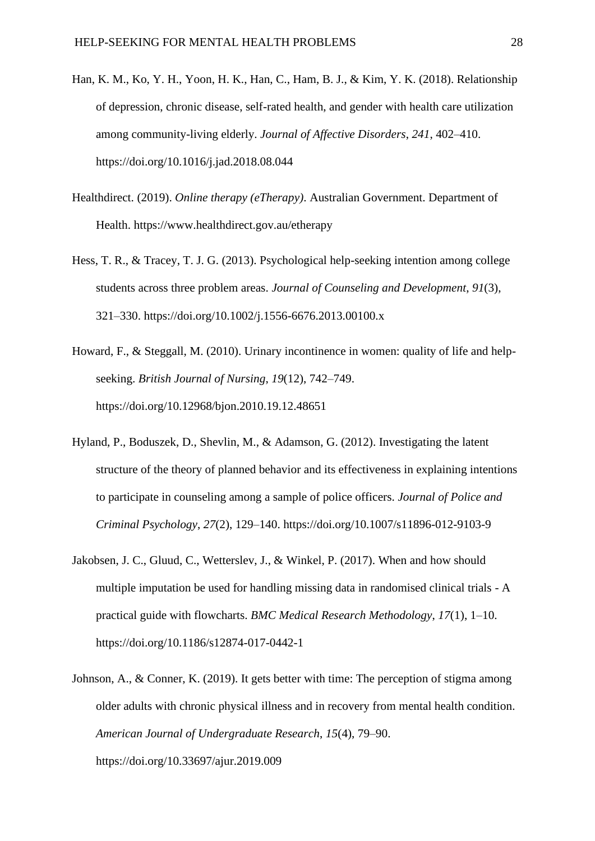- Han, K. M., Ko, Y. H., Yoon, H. K., Han, C., Ham, B. J., & Kim, Y. K. (2018). Relationship of depression, chronic disease, self-rated health, and gender with health care utilization among community-living elderly. *Journal of Affective Disorders*, *241*, 402–410. https://doi.org/10.1016/j.jad.2018.08.044
- Healthdirect. (2019). *Online therapy (eTherapy)*. Australian Government. Department of Health. https://www.healthdirect.gov.au/etherapy
- Hess, T. R., & Tracey, T. J. G. (2013). Psychological help-seeking intention among college students across three problem areas. *Journal of Counseling and Development*, *91*(3), 321–330. https://doi.org/10.1002/j.1556-6676.2013.00100.x
- Howard, F., & Steggall, M. (2010). Urinary incontinence in women: quality of life and helpseeking. *British Journal of Nursing*, *19*(12), 742–749. https://doi.org/10.12968/bjon.2010.19.12.48651
- Hyland, P., Boduszek, D., Shevlin, M., & Adamson, G. (2012). Investigating the latent structure of the theory of planned behavior and its effectiveness in explaining intentions to participate in counseling among a sample of police officers. *Journal of Police and Criminal Psychology*, *27*(2), 129–140. https://doi.org/10.1007/s11896-012-9103-9
- Jakobsen, J. C., Gluud, C., Wetterslev, J., & Winkel, P. (2017). When and how should multiple imputation be used for handling missing data in randomised clinical trials - A practical guide with flowcharts. *BMC Medical Research Methodology*, *17*(1), 1–10. https://doi.org/10.1186/s12874-017-0442-1
- Johnson, A., & Conner, K. (2019). It gets better with time: The perception of stigma among older adults with chronic physical illness and in recovery from mental health condition. *American Journal of Undergraduate Research*, *15*(4), 79–90. https://doi.org/10.33697/ajur.2019.009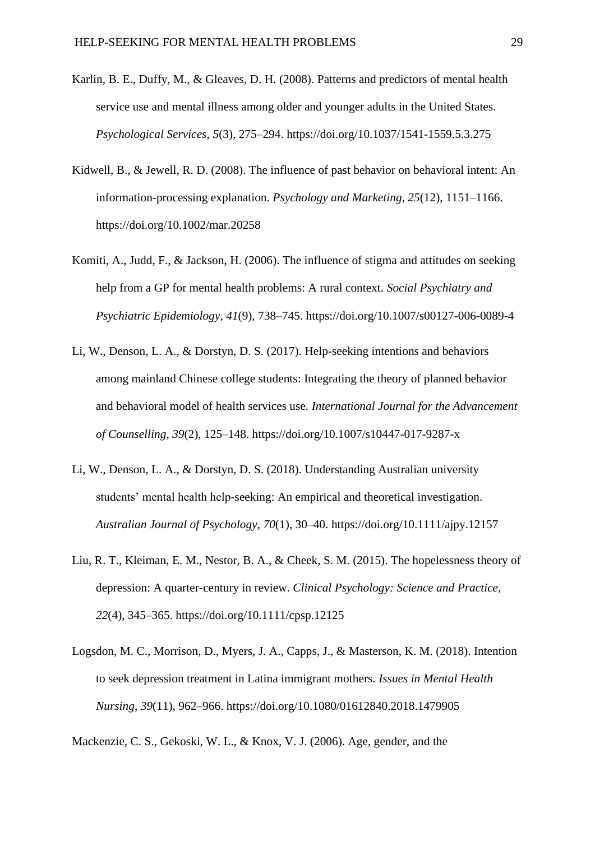- Karlin, B. E., Duffy, M., & Gleaves, D. H. (2008). Patterns and predictors of mental health service use and mental illness among older and younger adults in the United States. *Psychological Services*, *5*(3), 275–294. https://doi.org/10.1037/1541-1559.5.3.275
- Kidwell, B., & Jewell, R. D. (2008). The influence of past behavior on behavioral intent: An information-processing explanation. *Psychology and Marketing*, *25*(12), 1151–1166. https://doi.org/10.1002/mar.20258
- Komiti, A., Judd, F., & Jackson, H. (2006). The influence of stigma and attitudes on seeking help from a GP for mental health problems: A rural context. *Social Psychiatry and Psychiatric Epidemiology*, *41*(9), 738–745. https://doi.org/10.1007/s00127-006-0089-4
- Li, W., Denson, L. A., & Dorstyn, D. S. (2017). Help-seeking intentions and behaviors among mainland Chinese college students: Integrating the theory of planned behavior and behavioral model of health services use. *International Journal for the Advancement of Counselling*, *39*(2), 125–148. https://doi.org/10.1007/s10447-017-9287-x
- Li, W., Denson, L. A., & Dorstyn, D. S. (2018). Understanding Australian university students' mental health help-seeking: An empirical and theoretical investigation. *Australian Journal of Psychology*, *70*(1), 30–40. https://doi.org/10.1111/ajpy.12157
- Liu, R. T., Kleiman, E. M., Nestor, B. A., & Cheek, S. M. (2015). The hopelessness theory of depression: A quarter-century in review. *Clinical Psychology: Science and Practice*, *22*(4), 345–365. https://doi.org/10.1111/cpsp.12125
- Logsdon, M. C., Morrison, D., Myers, J. A., Capps, J., & Masterson, K. M. (2018). Intention to seek depression treatment in Latina immigrant mothers. *Issues in Mental Health Nursing*, *39*(11), 962–966. https://doi.org/10.1080/01612840.2018.1479905

Mackenzie, C. S., Gekoski, W. L., & Knox, V. J. (2006). Age, gender, and the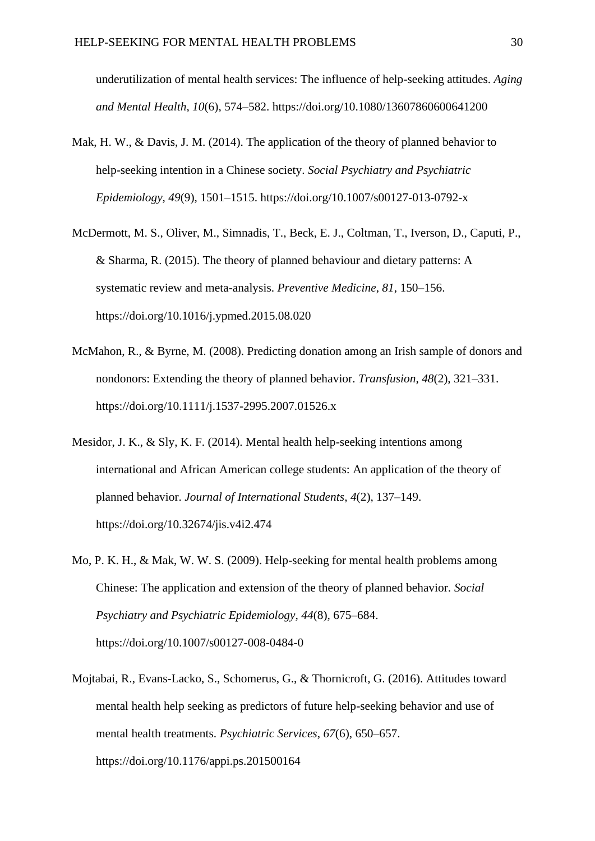underutilization of mental health services: The influence of help-seeking attitudes. *Aging and Mental Health*, *10*(6), 574–582. https://doi.org/10.1080/13607860600641200

- Mak, H. W., & Davis, J. M. (2014). The application of the theory of planned behavior to help-seeking intention in a Chinese society. *Social Psychiatry and Psychiatric Epidemiology*, *49*(9), 1501–1515. https://doi.org/10.1007/s00127-013-0792-x
- McDermott, M. S., Oliver, M., Simnadis, T., Beck, E. J., Coltman, T., Iverson, D., Caputi, P., & Sharma, R. (2015). The theory of planned behaviour and dietary patterns: A systematic review and meta-analysis. *Preventive Medicine*, *81*, 150–156. https://doi.org/10.1016/j.ypmed.2015.08.020
- McMahon, R., & Byrne, M. (2008). Predicting donation among an Irish sample of donors and nondonors: Extending the theory of planned behavior. *Transfusion*, *48*(2), 321–331. https://doi.org/10.1111/j.1537-2995.2007.01526.x
- Mesidor, J. K., & Sly, K. F. (2014). Mental health help-seeking intentions among international and African American college students: An application of the theory of planned behavior. *Journal of International Students*, *4*(2), 137–149. https://doi.org/10.32674/jis.v4i2.474
- Mo, P. K. H., & Mak, W. W. S. (2009). Help-seeking for mental health problems among Chinese: The application and extension of the theory of planned behavior. *Social Psychiatry and Psychiatric Epidemiology*, *44*(8), 675–684. https://doi.org/10.1007/s00127-008-0484-0
- Mojtabai, R., Evans-Lacko, S., Schomerus, G., & Thornicroft, G. (2016). Attitudes toward mental health help seeking as predictors of future help-seeking behavior and use of mental health treatments. *Psychiatric Services*, *67*(6), 650–657. https://doi.org/10.1176/appi.ps.201500164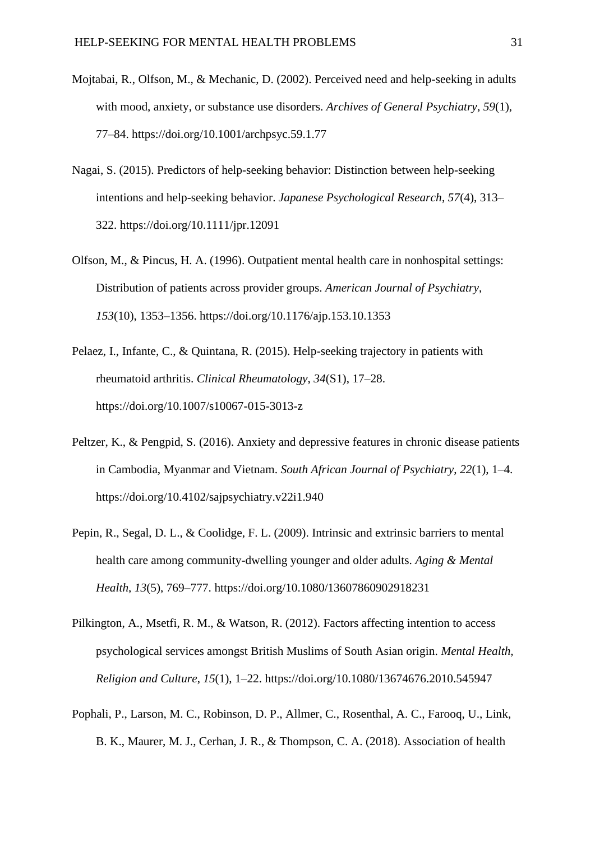- Mojtabai, R., Olfson, M., & Mechanic, D. (2002). Perceived need and help-seeking in adults with mood, anxiety, or substance use disorders. *Archives of General Psychiatry*, *59*(1), 77–84. https://doi.org/10.1001/archpsyc.59.1.77
- Nagai, S. (2015). Predictors of help-seeking behavior: Distinction between help-seeking intentions and help-seeking behavior. *Japanese Psychological Research*, *57*(4), 313– 322. https://doi.org/10.1111/jpr.12091
- Olfson, M., & Pincus, H. A. (1996). Outpatient mental health care in nonhospital settings: Distribution of patients across provider groups. *American Journal of Psychiatry*, *153*(10), 1353–1356. https://doi.org/10.1176/ajp.153.10.1353
- Pelaez, I., Infante, C., & Quintana, R. (2015). Help-seeking trajectory in patients with rheumatoid arthritis. *Clinical Rheumatology*, *34*(S1), 17–28. https://doi.org/10.1007/s10067-015-3013-z
- Peltzer, K., & Pengpid, S. (2016). Anxiety and depressive features in chronic disease patients in Cambodia, Myanmar and Vietnam. *South African Journal of Psychiatry*, *22*(1), 1–4. https://doi.org/10.4102/sajpsychiatry.v22i1.940
- Pepin, R., Segal, D. L., & Coolidge, F. L. (2009). Intrinsic and extrinsic barriers to mental health care among community-dwelling younger and older adults. *Aging & Mental Health*, *13*(5), 769–777. https://doi.org/10.1080/13607860902918231
- Pilkington, A., Msetfi, R. M., & Watson, R. (2012). Factors affecting intention to access psychological services amongst British Muslims of South Asian origin. *Mental Health, Religion and Culture*, *15*(1), 1–22. https://doi.org/10.1080/13674676.2010.545947
- Pophali, P., Larson, M. C., Robinson, D. P., Allmer, C., Rosenthal, A. C., Farooq, U., Link, B. K., Maurer, M. J., Cerhan, J. R., & Thompson, C. A. (2018). Association of health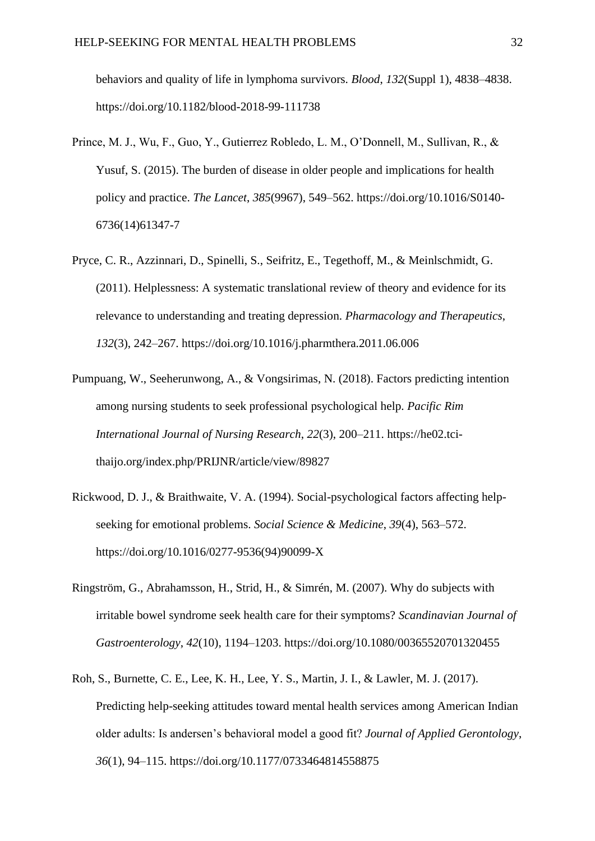behaviors and quality of life in lymphoma survivors. *Blood*, *132*(Suppl 1), 4838–4838. https://doi.org/10.1182/blood-2018-99-111738

- Prince, M. J., Wu, F., Guo, Y., Gutierrez Robledo, L. M., O'Donnell, M., Sullivan, R., & Yusuf, S. (2015). The burden of disease in older people and implications for health policy and practice. *The Lancet*, *385*(9967), 549–562. https://doi.org/10.1016/S0140- 6736(14)61347-7
- Pryce, C. R., Azzinnari, D., Spinelli, S., Seifritz, E., Tegethoff, M., & Meinlschmidt, G. (2011). Helplessness: A systematic translational review of theory and evidence for its relevance to understanding and treating depression. *Pharmacology and Therapeutics*, *132*(3), 242–267. https://doi.org/10.1016/j.pharmthera.2011.06.006
- Pumpuang, W., Seeherunwong, A., & Vongsirimas, N. (2018). Factors predicting intention among nursing students to seek professional psychological help. *Pacific Rim International Journal of Nursing Research*, *22*(3), 200–211. https://he02.tcithaijo.org/index.php/PRIJNR/article/view/89827
- Rickwood, D. J., & Braithwaite, V. A. (1994). Social-psychological factors affecting helpseeking for emotional problems. *Social Science & Medicine*, *39*(4), 563–572. https://doi.org/10.1016/0277-9536(94)90099-X
- Ringström, G., Abrahamsson, H., Strid, H., & Simrén, M. (2007). Why do subjects with irritable bowel syndrome seek health care for their symptoms? *Scandinavian Journal of Gastroenterology*, *42*(10), 1194–1203. https://doi.org/10.1080/00365520701320455
- Roh, S., Burnette, C. E., Lee, K. H., Lee, Y. S., Martin, J. I., & Lawler, M. J. (2017). Predicting help-seeking attitudes toward mental health services among American Indian older adults: Is andersen's behavioral model a good fit? *Journal of Applied Gerontology*, *36*(1), 94–115. https://doi.org/10.1177/0733464814558875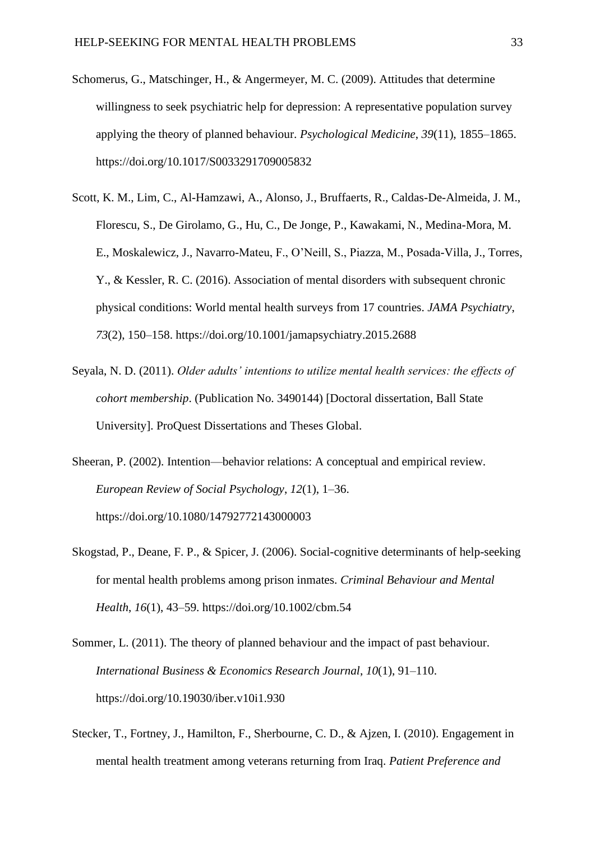- Schomerus, G., Matschinger, H., & Angermeyer, M. C. (2009). Attitudes that determine willingness to seek psychiatric help for depression: A representative population survey applying the theory of planned behaviour. *Psychological Medicine*, *39*(11), 1855–1865. https://doi.org/10.1017/S0033291709005832
- Scott, K. M., Lim, C., Al-Hamzawi, A., Alonso, J., Bruffaerts, R., Caldas-De-Almeida, J. M., Florescu, S., De Girolamo, G., Hu, C., De Jonge, P., Kawakami, N., Medina-Mora, M. E., Moskalewicz, J., Navarro-Mateu, F., O'Neill, S., Piazza, M., Posada-Villa, J., Torres, Y., & Kessler, R. C. (2016). Association of mental disorders with subsequent chronic physical conditions: World mental health surveys from 17 countries. *JAMA Psychiatry*, *73*(2), 150–158. https://doi.org/10.1001/jamapsychiatry.2015.2688
- Seyala, N. D. (2011). *Older adults' intentions to utilize mental health services: the effects of cohort membership*. (Publication No. 3490144) [Doctoral dissertation, Ball State University]. ProQuest Dissertations and Theses Global.
- Sheeran, P. (2002). Intention—behavior relations: A conceptual and empirical review. *European Review of Social Psychology*, *12*(1), 1–36. https://doi.org/10.1080/14792772143000003
- Skogstad, P., Deane, F. P., & Spicer, J. (2006). Social-cognitive determinants of help-seeking for mental health problems among prison inmates. *Criminal Behaviour and Mental Health*, *16*(1), 43–59. https://doi.org/10.1002/cbm.54
- Sommer, L. (2011). The theory of planned behaviour and the impact of past behaviour. *International Business & Economics Research Journal*, *10*(1), 91–110. https://doi.org/10.19030/iber.v10i1.930
- Stecker, T., Fortney, J., Hamilton, F., Sherbourne, C. D., & Ajzen, I. (2010). Engagement in mental health treatment among veterans returning from Iraq. *Patient Preference and*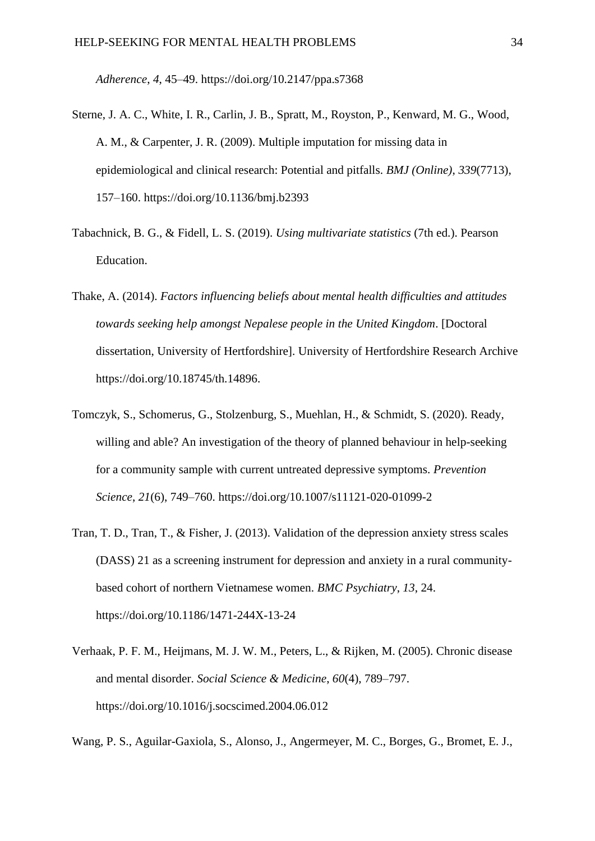*Adherence*, *4*, 45–49. https://doi.org/10.2147/ppa.s7368

- Sterne, J. A. C., White, I. R., Carlin, J. B., Spratt, M., Royston, P., Kenward, M. G., Wood, A. M., & Carpenter, J. R. (2009). Multiple imputation for missing data in epidemiological and clinical research: Potential and pitfalls. *BMJ (Online)*, *339*(7713), 157–160. https://doi.org/10.1136/bmj.b2393
- Tabachnick, B. G., & Fidell, L. S. (2019). *Using multivariate statistics* (7th ed.). Pearson Education.
- Thake, A. (2014). *Factors influencing beliefs about mental health difficulties and attitudes towards seeking help amongst Nepalese people in the United Kingdom*. [Doctoral dissertation, University of Hertfordshire]. University of Hertfordshire Research Archive https://doi.org/10.18745/th.14896.
- Tomczyk, S., Schomerus, G., Stolzenburg, S., Muehlan, H., & Schmidt, S. (2020). Ready, willing and able? An investigation of the theory of planned behaviour in help-seeking for a community sample with current untreated depressive symptoms. *Prevention Science*, *21*(6), 749–760. https://doi.org/10.1007/s11121-020-01099-2
- Tran, T. D., Tran, T., & Fisher, J. (2013). Validation of the depression anxiety stress scales (DASS) 21 as a screening instrument for depression and anxiety in a rural communitybased cohort of northern Vietnamese women. *BMC Psychiatry*, *13*, 24. https://doi.org/10.1186/1471-244X-13-24
- Verhaak, P. F. M., Heijmans, M. J. W. M., Peters, L., & Rijken, M. (2005). Chronic disease and mental disorder. *Social Science & Medicine*, *60*(4), 789–797. https://doi.org/10.1016/j.socscimed.2004.06.012
- Wang, P. S., Aguilar-Gaxiola, S., Alonso, J., Angermeyer, M. C., Borges, G., Bromet, E. J.,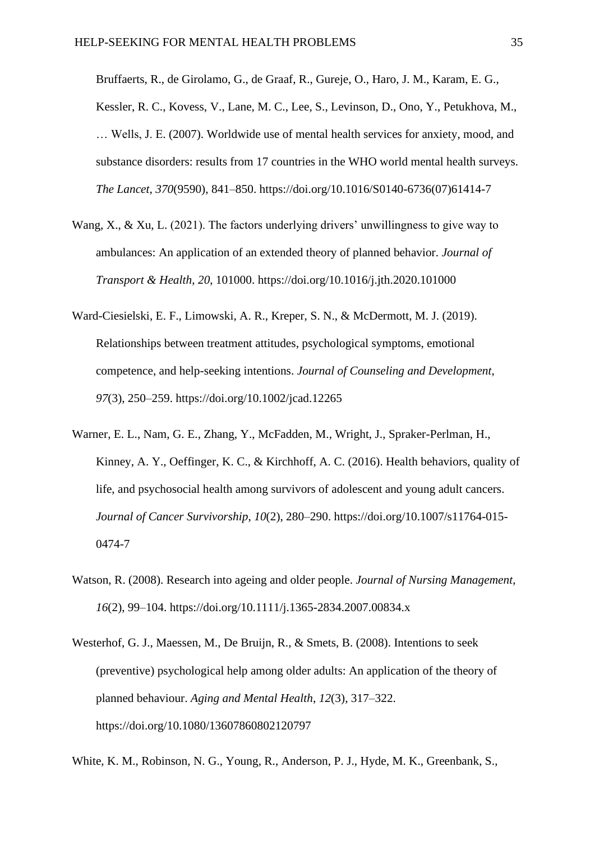Bruffaerts, R., de Girolamo, G., de Graaf, R., Gureje, O., Haro, J. M., Karam, E. G., Kessler, R. C., Kovess, V., Lane, M. C., Lee, S., Levinson, D., Ono, Y., Petukhova, M., … Wells, J. E. (2007). Worldwide use of mental health services for anxiety, mood, and substance disorders: results from 17 countries in the WHO world mental health surveys. *The Lancet*, *370*(9590), 841–850. https://doi.org/10.1016/S0140-6736(07)61414-7

- Wang, X., & Xu, L. (2021). The factors underlying drivers' unwillingness to give way to ambulances: An application of an extended theory of planned behavior. *Journal of Transport & Health*, *20*, 101000. https://doi.org/10.1016/j.jth.2020.101000
- Ward-Ciesielski, E. F., Limowski, A. R., Kreper, S. N., & McDermott, M. J. (2019). Relationships between treatment attitudes, psychological symptoms, emotional competence, and help-seeking intentions. *Journal of Counseling and Development*, *97*(3), 250–259. https://doi.org/10.1002/jcad.12265
- Warner, E. L., Nam, G. E., Zhang, Y., McFadden, M., Wright, J., Spraker-Perlman, H., Kinney, A. Y., Oeffinger, K. C., & Kirchhoff, A. C. (2016). Health behaviors, quality of life, and psychosocial health among survivors of adolescent and young adult cancers. *Journal of Cancer Survivorship*, *10*(2), 280–290. https://doi.org/10.1007/s11764-015- 0474-7
- Watson, R. (2008). Research into ageing and older people. *Journal of Nursing Management*, *16*(2), 99–104. https://doi.org/10.1111/j.1365-2834.2007.00834.x
- Westerhof, G. J., Maessen, M., De Bruijn, R., & Smets, B. (2008). Intentions to seek (preventive) psychological help among older adults: An application of the theory of planned behaviour. *Aging and Mental Health*, *12*(3), 317–322. https://doi.org/10.1080/13607860802120797

White, K. M., Robinson, N. G., Young, R., Anderson, P. J., Hyde, M. K., Greenbank, S.,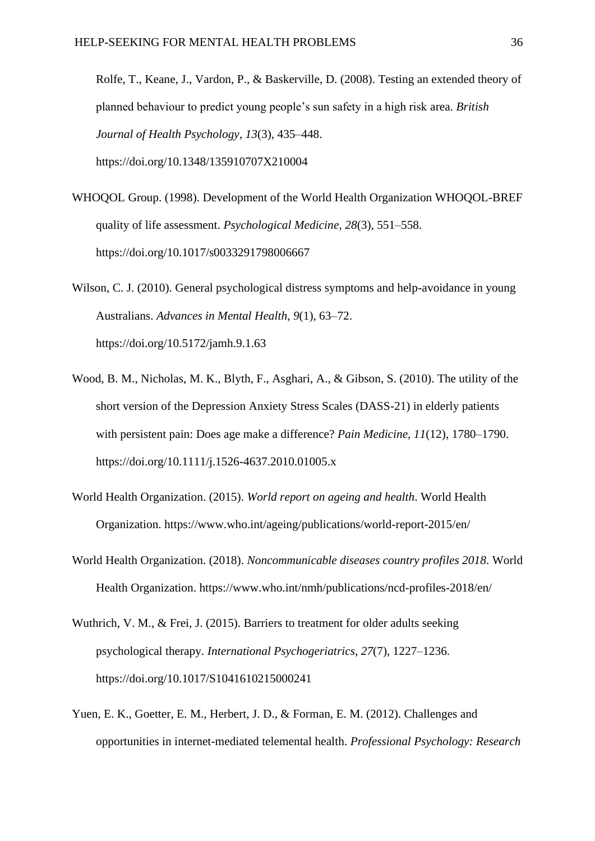Rolfe, T., Keane, J., Vardon, P., & Baskerville, D. (2008). Testing an extended theory of planned behaviour to predict young people's sun safety in a high risk area. *British Journal of Health Psychology*, *13*(3), 435–448. https://doi.org/10.1348/135910707X210004

- WHOQOL Group. (1998). Development of the World Health Organization WHOQOL-BREF quality of life assessment. *Psychological Medicine*, *28*(3), 551–558. https://doi.org/10.1017/s0033291798006667
- Wilson, C. J. (2010). General psychological distress symptoms and help-avoidance in young Australians. *Advances in Mental Health*, *9*(1), 63–72. https://doi.org/10.5172/jamh.9.1.63
- Wood, B. M., Nicholas, M. K., Blyth, F., Asghari, A., & Gibson, S. (2010). The utility of the short version of the Depression Anxiety Stress Scales (DASS-21) in elderly patients with persistent pain: Does age make a difference? *Pain Medicine*, *11*(12), 1780–1790. https://doi.org/10.1111/j.1526-4637.2010.01005.x
- World Health Organization. (2015). *World report on ageing and health*. World Health Organization. https://www.who.int/ageing/publications/world-report-2015/en/
- World Health Organization. (2018). *Noncommunicable diseases country profiles 2018*. World Health Organization. https://www.who.int/nmh/publications/ncd-profiles-2018/en/
- Wuthrich, V. M., & Frei, J. (2015). Barriers to treatment for older adults seeking psychological therapy. *International Psychogeriatrics*, *27*(7), 1227–1236. https://doi.org/10.1017/S1041610215000241
- Yuen, E. K., Goetter, E. M., Herbert, J. D., & Forman, E. M. (2012). Challenges and opportunities in internet-mediated telemental health. *Professional Psychology: Research*